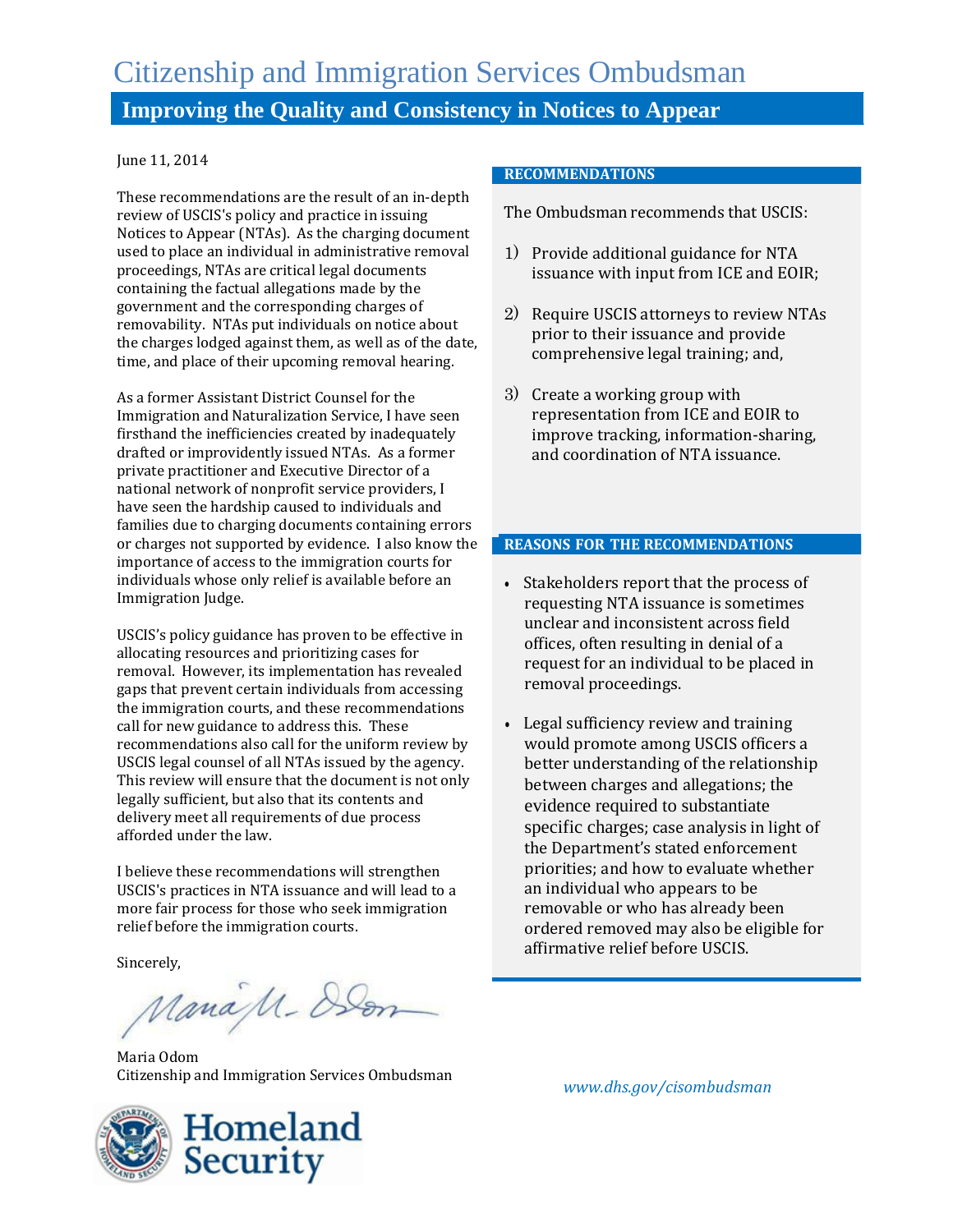# Citizenship and Immigration Services Ombudsman **Improving the Quality and Consistency in Notices to Appear**

#### June 11, 2014

These recommendations are the result of an in-depth review of USCIS's policy and practice in issuing Notices to Appear (NTAs). As the charging document used to place an individual in administrative removal proceedings, NTAs are critical legal documents containing the factual allegations made by the government and the corresponding charges of removability. NTAs put individuals on notice about the charges lodged against them, as well as of the date, time, and place of their upcoming removal hearing.

As a former Assistant District Counsel for the Immigration and Naturalization Service, I have seen firsthand the inefficiencies created by inadequately drafted or improvidently issued NTAs. As a former private practitioner and Executive Director of a national network of nonprofit service providers, I have seen the hardship caused to individuals and families due to charging documents containing errors or charges not supported by evidence. I also know the importance of access to the immigration courts for individuals whose only relief is available before an Immigration Judge.

USCIS's policy guidance has proven to be effective in allocating resources and prioritizing cases for removal. However, its implementation has revealed gaps that prevent certain individuals from accessing the immigration courts, and these recommendations call for new guidance to address this. These recommendations also call for the uniform review by USCIS legal counsel of all NTAs issued by the agency. This review will ensure that the document is not only legally sufficient, but also that its contents and delivery meet all requirements of due process afforded under the law.

I believe these recommendations will strengthen USCIS's practices in NTA issuance and will lead to a more fair process for those who seek immigration relief before the immigration courts.

Sincerely,

ManaM-Den

Maria Odom Citizenship and Immigration Services Ombudsman

#### **RECOMMENDATIONS**

The Ombudsman recommends that USCIS:

- 1) Provide additional guidance for NTA issuance with input from ICE and EOIR;
- 2) Require USCIS attorneys to review NTAs prior to their issuance and provide comprehensive legal training; and,
- 3) Create a working group with representation from ICE and EOIR to improve tracking, information-sharing, and coordination of NTA issuance.

#### **REASONS FOR THE RECOMMENDATIONS**

- Stakeholders report that the process of requesting NTA issuance is sometimes unclear and inconsistent across field offices, often resulting in denial of a request for an individual to be placed in removal proceedings.
- Legal sufficiency review and training would promote among USCIS officers a better understanding of the relationship between charges and allegations; the evidence required to substantiate specific charges; case analysis in light of the Department's stated enforcement priorities; and how to evaluate whether an individual who appears to be removable or who has already been ordered removed may also be eligible for affirmative relief before USCIS.



*www.dhs.gov/cisombudsman*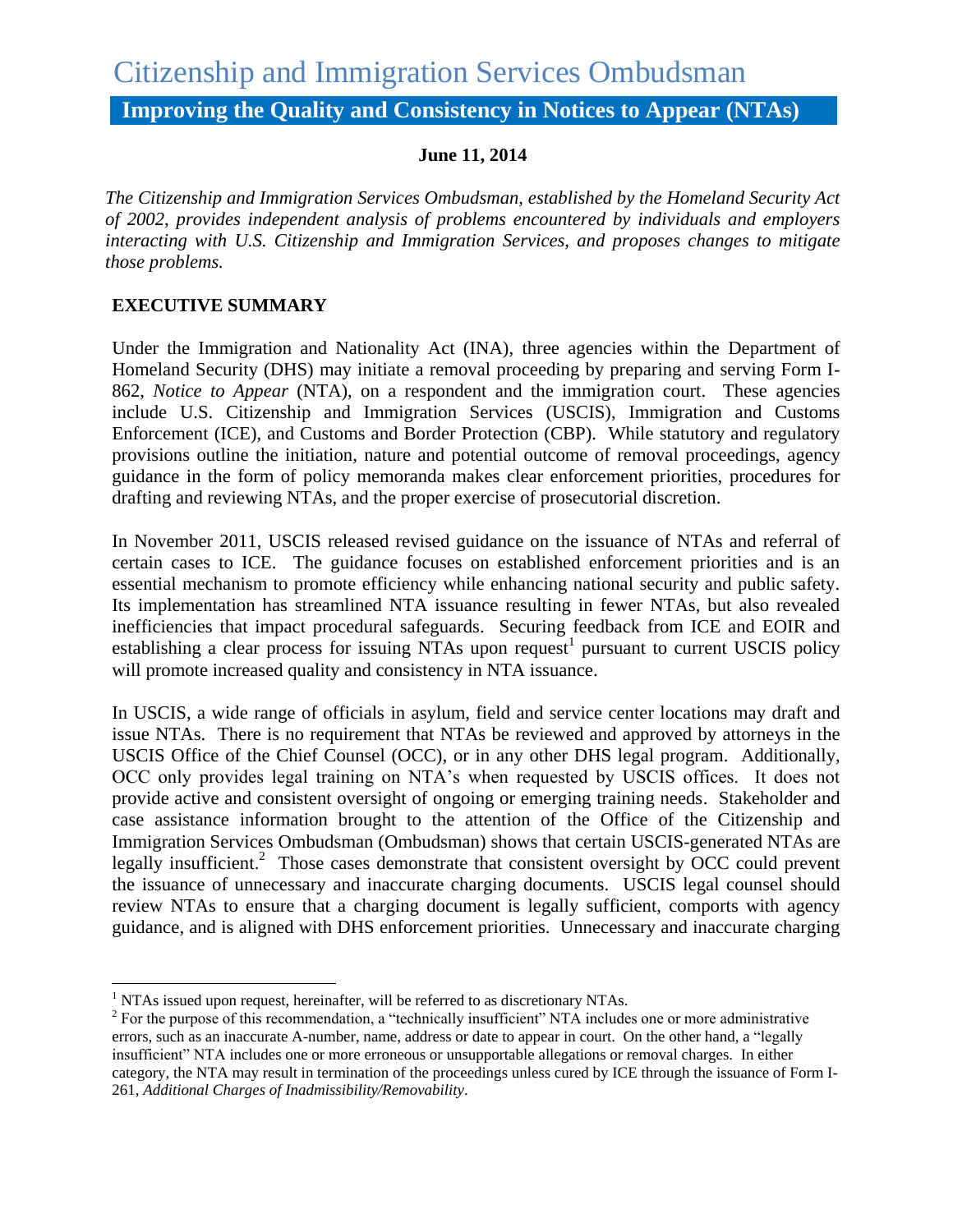# Citizenship and Immigration Services Ombudsman

**Improving the Quality and Consistency in Notices to Appear (NTAs)**

## **June 11, 2014**

*The Citizenship and Immigration Services Ombudsman, established by the Homeland Security Act of 2002, provides independent analysis of problems encountered by individuals and employers interacting with U.S. Citizenship and Immigration Services, and proposes changes to mitigate those problems.* 

# **EXECUTIVE SUMMARY**

 $\overline{\phantom{a}}$ 

Under the Immigration and Nationality Act (INA), three agencies within the Department of Homeland Security (DHS) may initiate a removal proceeding by preparing and serving Form I-862, *Notice to Appear* (NTA), on a respondent and the immigration court. These agencies include U.S. Citizenship and Immigration Services (USCIS), Immigration and Customs Enforcement (ICE), and Customs and Border Protection (CBP). While statutory and regulatory provisions outline the initiation, nature and potential outcome of removal proceedings, agency guidance in the form of policy memoranda makes clear enforcement priorities, procedures for drafting and reviewing NTAs, and the proper exercise of prosecutorial discretion.

In November 2011, USCIS released revised guidance on the issuance of NTAs and referral of certain cases to ICE. The guidance focuses on established enforcement priorities and is an essential mechanism to promote efficiency while enhancing national security and public safety. Its implementation has streamlined NTA issuance resulting in fewer NTAs, but also revealed inefficiencies that impact procedural safeguards. Securing feedback from ICE and EOIR and establishing a clear process for issuing NTAs upon request<sup>1</sup> pursuant to current USCIS policy will promote increased quality and consistency in NTA issuance.

In USCIS, a wide range of officials in asylum, field and service center locations may draft and issue NTAs. There is no requirement that NTAs be reviewed and approved by attorneys in the USCIS Office of the Chief Counsel (OCC), or in any other DHS legal program. Additionally, OCC only provides legal training on NTA's when requested by USCIS offices. It does not provide active and consistent oversight of ongoing or emerging training needs. Stakeholder and case assistance information brought to the attention of the Office of the Citizenship and Immigration Services Ombudsman (Ombudsman) shows that certain USCIS-generated NTAs are legally insufficient.<sup>2</sup> Those cases demonstrate that consistent oversight by OCC could prevent the issuance of unnecessary and inaccurate charging documents. USCIS legal counsel should review NTAs to ensure that a charging document is legally sufficient, comports with agency guidance, and is aligned with DHS enforcement priorities. Unnecessary and inaccurate charging

 $<sup>1</sup>$  NTAs issued upon request, hereinafter, will be referred to as discretionary NTAs.</sup>

 $2^2$  For the purpose of this recommendation, a "technically insufficient" NTA includes one or more administrative errors, such as an inaccurate A-number, name, address or date to appear in court. On the other hand, a "legally insufficient" NTA includes one or more erroneous or unsupportable allegations or removal charges. In either category, the NTA may result in termination of the proceedings unless cured by ICE through the issuance of Form I-261, *Additional Charges of Inadmissibility/Removability*.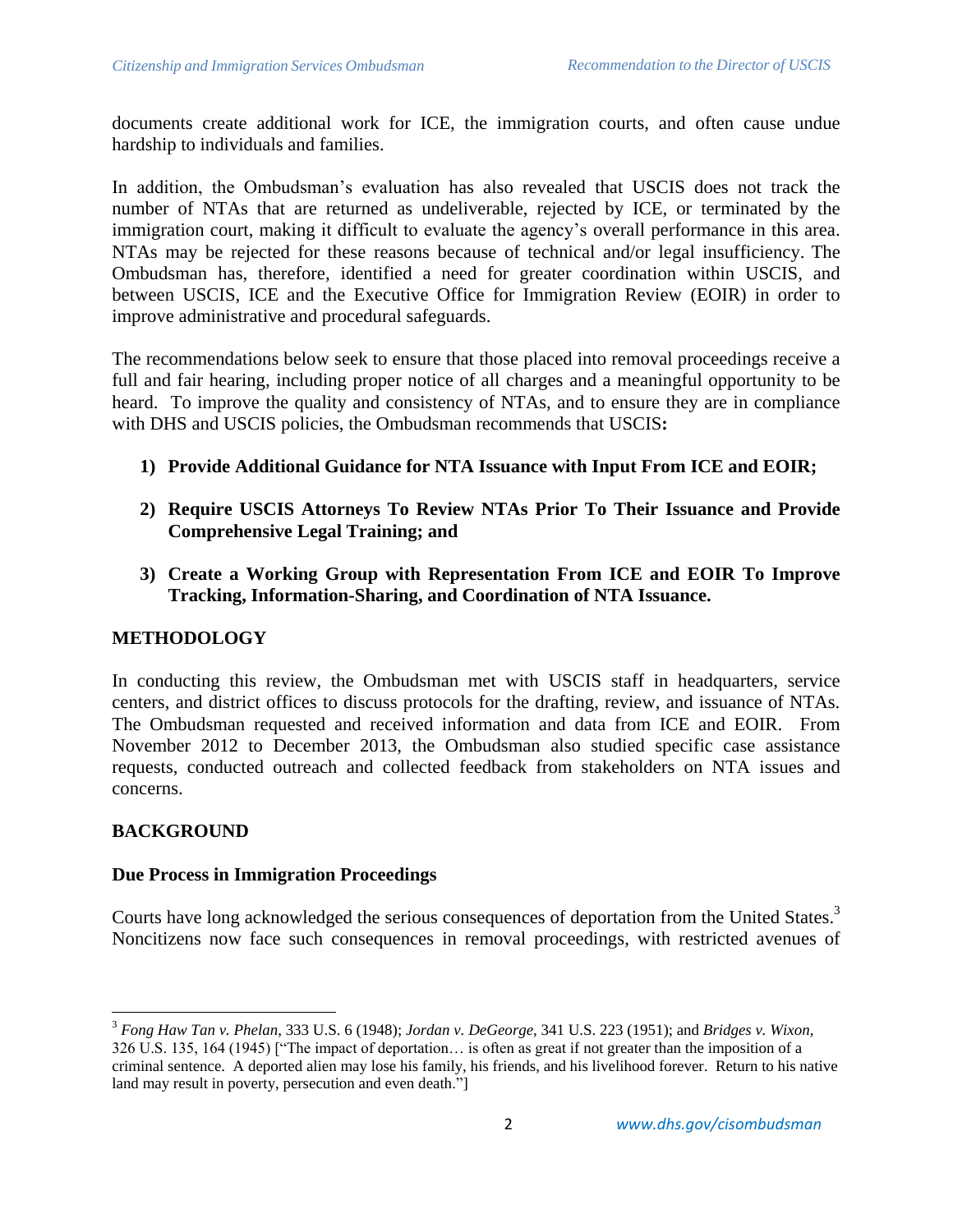documents create additional work for ICE, the immigration courts, and often cause undue hardship to individuals and families.

In addition, the Ombudsman's evaluation has also revealed that USCIS does not track the number of NTAs that are returned as undeliverable, rejected by ICE, or terminated by the immigration court, making it difficult to evaluate the agency's overall performance in this area. NTAs may be rejected for these reasons because of technical and/or legal insufficiency. The Ombudsman has, therefore, identified a need for greater coordination within USCIS, and between USCIS, ICE and the Executive Office for Immigration Review (EOIR) in order to improve administrative and procedural safeguards.

The recommendations below seek to ensure that those placed into removal proceedings receive a full and fair hearing, including proper notice of all charges and a meaningful opportunity to be heard. To improve the quality and consistency of NTAs, and to ensure they are in compliance with DHS and USCIS policies, the Ombudsman recommends that USCIS**:**

- **1) Provide Additional Guidance for NTA Issuance with Input From ICE and EOIR;**
- **2) Require USCIS Attorneys To Review NTAs Prior To Their Issuance and Provide Comprehensive Legal Training; and**
- **3) Create a Working Group with Representation From ICE and EOIR To Improve Tracking, Information-Sharing, and Coordination of NTA Issuance.**

#### **METHODOLOGY**

In conducting this review, the Ombudsman met with USCIS staff in headquarters, service centers, and district offices to discuss protocols for the drafting, review, and issuance of NTAs. The Ombudsman requested and received information and data from ICE and EOIR. From November 2012 to December 2013, the Ombudsman also studied specific case assistance requests, conducted outreach and collected feedback from stakeholders on NTA issues and concerns.

#### **BACKGROUND**

 $\overline{\phantom{a}}$ 

#### **Due Process in Immigration Proceedings**

Courts have long acknowledged the serious consequences of deportation from the United States.<sup>3</sup> Noncitizens now face such consequences in removal proceedings, with restricted avenues of

<sup>3</sup> *Fong Haw Tan v. Phelan*, 333 U.S. 6 (1948); *Jordan v. DeGeorge*, 341 U.S. 223 (1951); and *Bridges v. Wixon*, 326 U.S. 135, 164 (1945) ["The impact of deportation… is often as great if not greater than the imposition of a criminal sentence. A deported alien may lose his family, his friends, and his livelihood forever. Return to his native land may result in poverty, persecution and even death."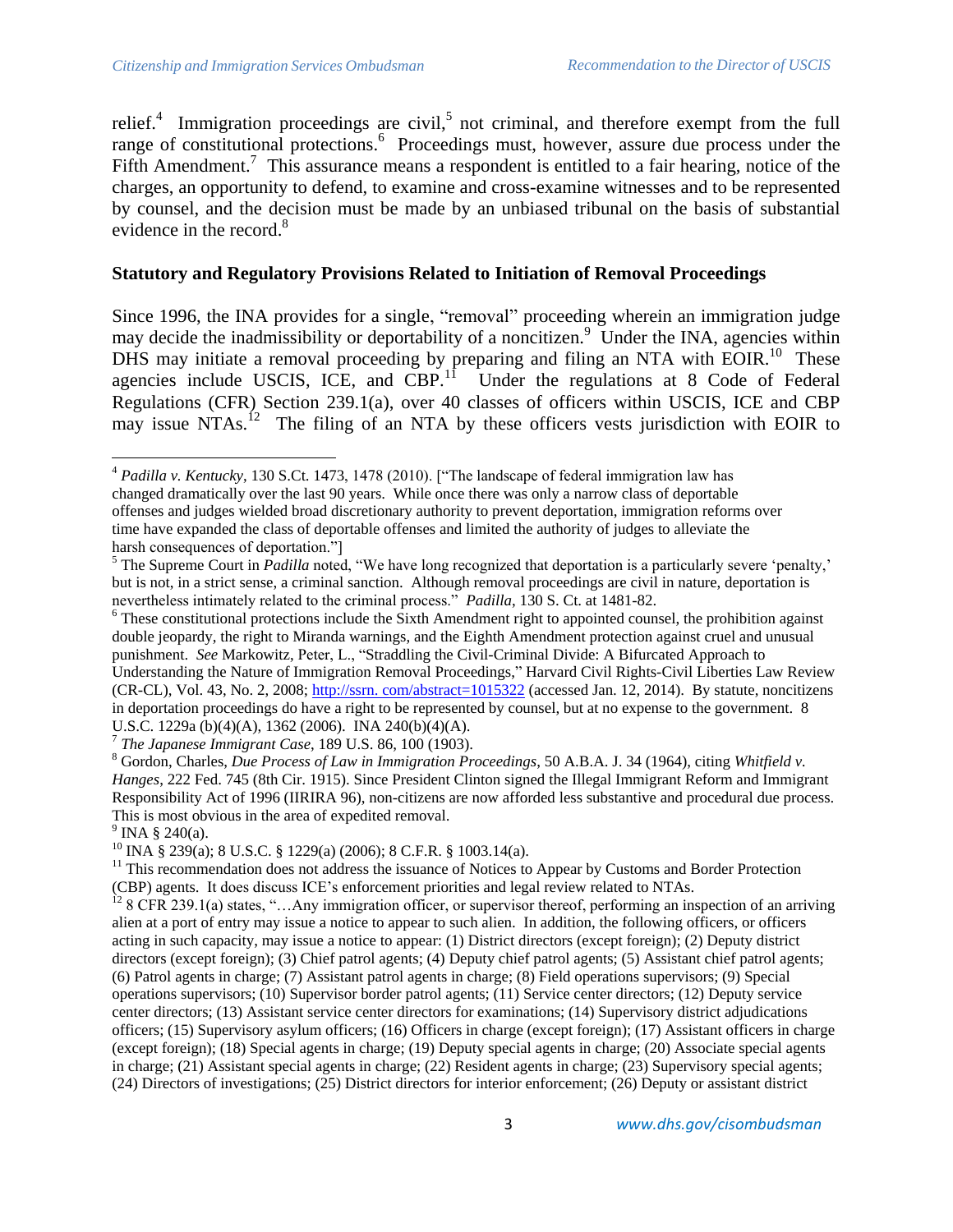relief.<sup>4</sup> Immigration proceedings are civil,<sup>5</sup> not criminal, and therefore exempt from the full range of constitutional protections.<sup>6</sup> Proceedings must, however, assure due process under the Fifth Amendment.<sup>7</sup> This assurance means a respondent is entitled to a fair hearing, notice of the charges, an opportunity to defend, to examine and cross-examine witnesses and to be represented by counsel, and the decision must be made by an unbiased tribunal on the basis of substantial evidence in the record.<sup>8</sup>

#### **Statutory and Regulatory Provisions Related to Initiation of Removal Proceedings**

Since 1996, the INA provides for a single, "removal" proceeding wherein an immigration judge may decide the inadmissibility or deportability of a noncitizen.<sup>9</sup> Under the INA, agencies within DHS may initiate a removal proceeding by preparing and filing an NTA with EOIR.<sup>10</sup> These agencies include USCIS, ICE, and CBP. $1^1$  Under the regulations at 8 Code of Federal Regulations (CFR) Section 239.1(a), over 40 classes of officers within USCIS, ICE and CBP may issue NTAs.<sup>12</sup> The filing of an NTA by these officers vests jurisdiction with EOIR to

 $9$  INA § 240(a).

 $^{10}$  INA § 239(a); 8 U.S.C. § 1229(a) (2006); 8 C.F.R. § 1003.14(a).

 $\overline{\phantom{a}}$ <sup>4</sup> *Padilla v. Kentucky*, 130 S.Ct. 1473, 1478 (2010). ["The landscape of federal immigration law has changed dramatically over the last 90 years. While once there was only a narrow class of deportable offenses and judges wielded broad discretionary authority to prevent deportation, immigration reforms over time have expanded the class of deportable offenses and limited the authority of judges to alleviate the harsh consequences of deportation."]

<sup>&</sup>lt;sup>5</sup> The Supreme Court in *Padilla* noted, "We have long recognized that deportation is a particularly severe 'penalty,' but is not, in a strict sense, a criminal sanction. Although removal proceedings are civil in nature, deportation is nevertheless intimately related to the criminal process." *Padilla*, 130 S. Ct. at 1481-82.

<sup>&</sup>lt;sup>6</sup> These constitutional protections include the Sixth Amendment right to appointed counsel, the prohibition against double jeopardy, the right to Miranda warnings, and the Eighth Amendment protection against cruel and unusual punishment. *See* Markowitz, Peter, L., "Straddling the Civil-Criminal Divide: A Bifurcated Approach to Understanding the Nature of Immigration Removal Proceedings," Harvard Civil Rights-Civil Liberties Law Review (CR-CL), Vol. 43, No. 2, 2008; http://ssrn. com/abstract=1015322 (accessed Jan. 12, 2014). By statute, noncitizens in deportation proceedings do have a right to be represented by counsel, but at no expense to the government. 8 U.S.C. 1229a (b)(4)(A), 1362 (2006). INA 240(b)(4)(A).

<sup>7</sup> *The Japanese Immigrant Case*, 189 U.S. 86, 100 (1903).

<sup>8</sup> Gordon, Charles, *Due Process of Law in Immigration Proceedings*, 50 A.B.A. J. 34 (1964), citing *Whitfield v. Hanges*, 222 Fed. 745 (8th Cir. 1915). Since President Clinton signed the Illegal Immigrant Reform and Immigrant Responsibility Act of 1996 (IIRIRA 96), non-citizens are now afforded less substantive and procedural due process. This is most obvious in the area of expedited removal.

 $<sup>11</sup>$  This recommendation does not address the issuance of Notices to Appear by Customs and Border Protection</sup> (CBP) agents. It does discuss ICE's enforcement priorities and legal review related to NTAs.

<sup>&</sup>lt;sup>12</sup> 8 CFR 239.1(a) states, "...Any immigration officer, or supervisor thereof, performing an inspection of an arriving alien at a port of entry may issue a notice to appear to such alien. In addition, the following officers, or officers acting in such capacity, may issue a notice to appear: (1) District directors (except foreign); (2) Deputy district directors (except foreign); (3) Chief patrol agents; (4) Deputy chief patrol agents; (5) Assistant chief patrol agents; (6) Patrol agents in charge; (7) Assistant patrol agents in charge; (8) Field operations supervisors; (9) Special operations supervisors; (10) Supervisor border patrol agents; (11) Service center directors; (12) Deputy service center directors; (13) Assistant service center directors for examinations; (14) Supervisory district adjudications officers; (15) Supervisory asylum officers; (16) Officers in charge (except foreign); (17) Assistant officers in charge (except foreign); (18) Special agents in charge; (19) Deputy special agents in charge; (20) Associate special agents in charge; (21) Assistant special agents in charge; (22) Resident agents in charge; (23) Supervisory special agents; (24) Directors of investigations; (25) District directors for interior enforcement; (26) Deputy or assistant district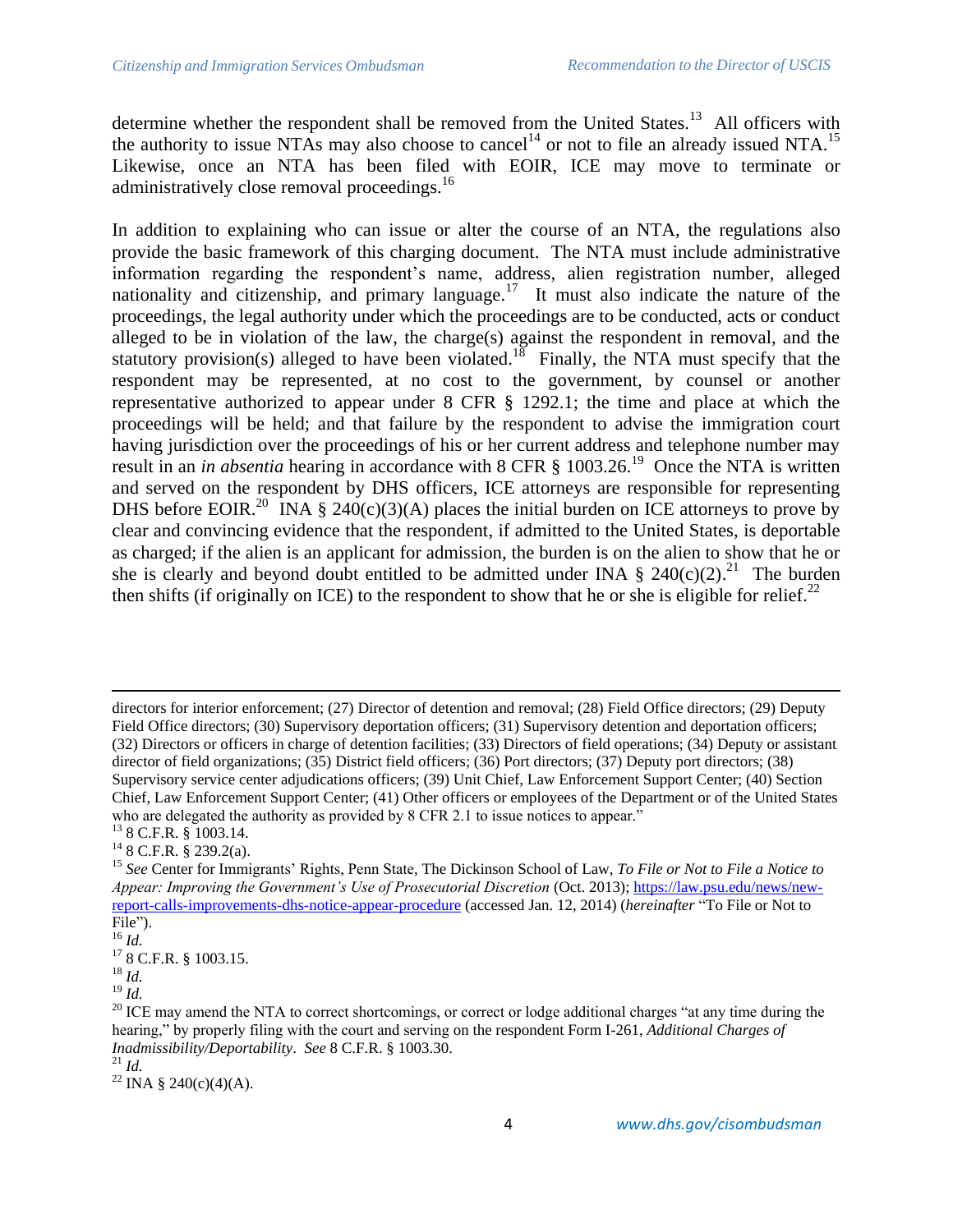determine whether the respondent shall be removed from the United States.<sup>13</sup> All officers with the authority to issue NTAs may also choose to cancel<sup>14</sup> or not to file an already issued NTA.<sup>15</sup> Likewise, once an NTA has been filed with EOIR, ICE may move to terminate or administratively close removal proceedings.<sup>16</sup>

In addition to explaining who can issue or alter the course of an NTA, the regulations also provide the basic framework of this charging document. The NTA must include administrative information regarding the respondent's name, address, alien registration number, alleged nationality and citizenship, and primary language.<sup>17</sup> It must also indicate the nature of the proceedings, the legal authority under which the proceedings are to be conducted, acts or conduct alleged to be in violation of the law, the charge(s) against the respondent in removal, and the statutory provision(s) alleged to have been violated.<sup>18</sup> Finally, the NTA must specify that the respondent may be represented, at no cost to the government, by counsel or another representative authorized to appear under 8 CFR § 1292.1; the time and place at which the proceedings will be held; and that failure by the respondent to advise the immigration court having jurisdiction over the proceedings of his or her current address and telephone number may result in an *in absentia* hearing in accordance with 8 CFR § 1003.26.<sup>19</sup> Once the NTA is written and served on the respondent by DHS officers, ICE attorneys are responsible for representing DHS before EOIR.<sup>20</sup> INA § 240(c)(3)(A) places the initial burden on ICE attorneys to prove by clear and convincing evidence that the respondent, if admitted to the United States, is deportable as charged; if the alien is an applicant for admission, the burden is on the alien to show that he or she is clearly and beyond doubt entitled to be admitted under INA  $\S$  240(c)(2).<sup>21</sup> The burden then shifts (if originally on ICE) to the respondent to show that he or she is eligible for relief. $^{22}$ 

 $\overline{\phantom{a}}$ 

directors for interior enforcement; (27) Director of detention and removal; (28) Field Office directors; (29) Deputy Field Office directors; (30) Supervisory deportation officers; (31) Supervisory detention and deportation officers; (32) Directors or officers in charge of detention facilities; (33) Directors of field operations; (34) Deputy or assistant director of field organizations; (35) District field officers; (36) Port directors; (37) Deputy port directors; (38) Supervisory service center adjudications officers; (39) Unit Chief, Law Enforcement Support Center; (40) Section Chief, Law Enforcement Support Center; (41) Other officers or employees of the Department or of the United States who are delegated the authority as provided by 8 CFR 2.1 to issue notices to appear.<sup>"</sup>  $13$  8 C.F.R. § 1003.14.

<sup>14</sup> 8 C.F.R. § 239.2(a).

<sup>15</sup> *See* Center for Immigrants' Rights, Penn State, The Dickinson School of Law, *To File or Not to File a Notice to Appear: Improving the Government's Use of Prosecutorial Discretion* (Oct. 2013); [https://law.psu.edu/news/new](https://law.psu.edu/news/new-report-calls-improvements-dhs-notice-appear-procedure)[report-calls-improvements-dhs-notice-appear-procedure](https://law.psu.edu/news/new-report-calls-improvements-dhs-notice-appear-procedure) (accessed Jan. 12, 2014) (*hereinafter* "To File or Not to File").

<sup>16</sup> *Id.*

<sup>17</sup> 8 C.F.R. § 1003.15.

<sup>18</sup> *Id.*

<sup>19</sup> *Id.*

 $20$  ICE may amend the NTA to correct shortcomings, or correct or lodge additional charges "at any time during the hearing," by properly filing with the court and serving on the respondent Form I-261, *Additional Charges of Inadmissibility/Deportability*. *See* 8 C.F.R. § 1003.30.

<sup>21</sup> *Id.*

<sup>&</sup>lt;sup>22</sup> INA § 240(c)(4)(A).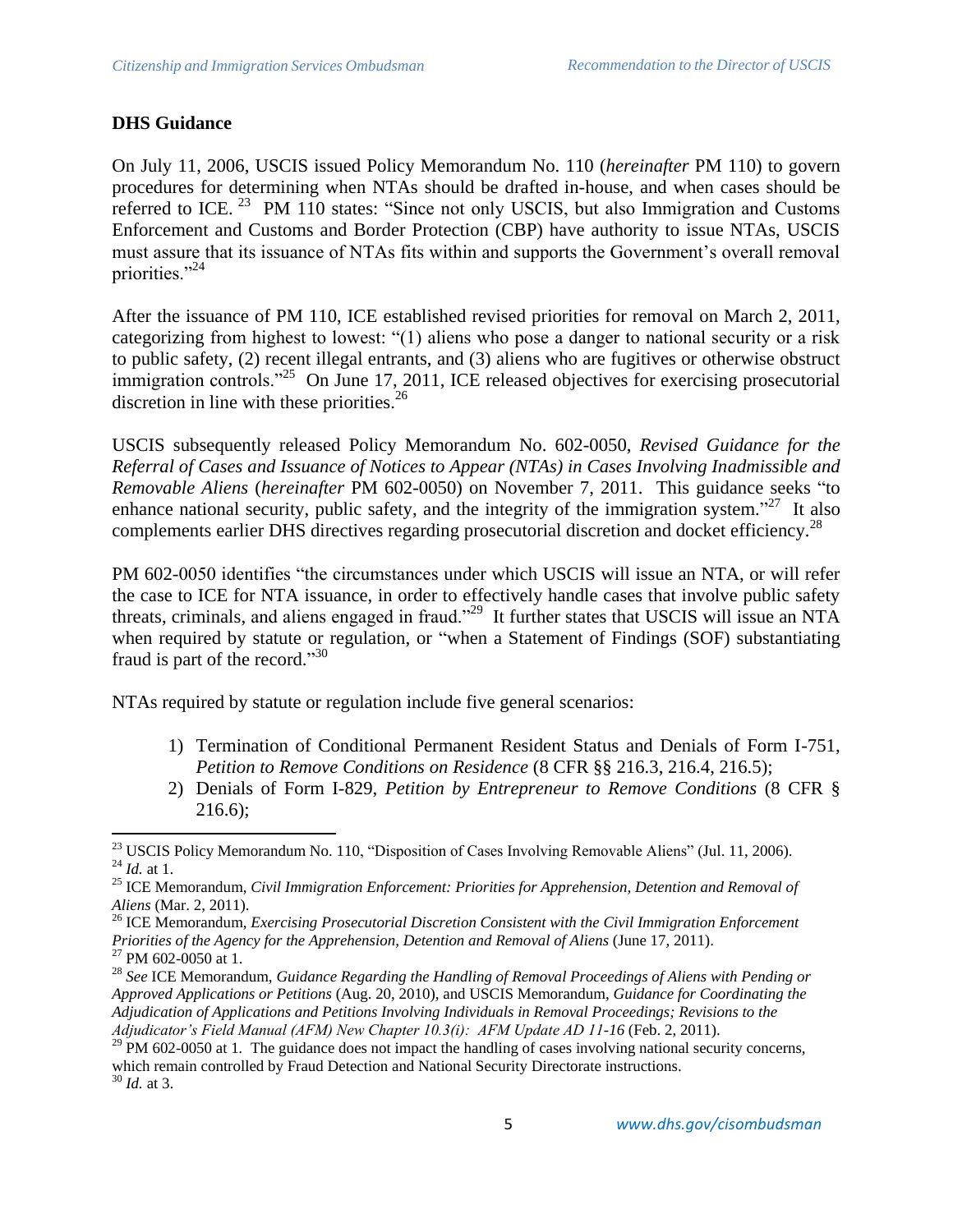# **DHS Guidance**

On July 11, 2006, USCIS issued Policy Memorandum No. 110 (*hereinafter* PM 110) to govern procedures for determining when NTAs should be drafted in-house, and when cases should be referred to ICE.<sup>23</sup> PM 110 states: "Since not only USCIS, but also Immigration and Customs Enforcement and Customs and Border Protection (CBP) have authority to issue NTAs, USCIS must assure that its issuance of NTAs fits within and supports the Government's overall removal priorities."<sup>24</sup>

After the issuance of PM 110, ICE established revised priorities for removal on March 2, 2011, categorizing from highest to lowest: "(1) aliens who pose a danger to national security or a risk to public safety, (2) recent illegal entrants, and (3) aliens who are fugitives or otherwise obstruct immigration controls."<sup>25</sup> On June 17, 2011, ICE released objectives for exercising prosecutorial discretion in line with these priorities.<sup>26</sup>

USCIS subsequently released Policy Memorandum No. 602-0050, *Revised Guidance for the Referral of Cases and Issuance of Notices to Appear (NTAs) in Cases Involving Inadmissible and Removable Aliens* (*hereinafter* PM 602-0050) on November 7, 2011. This guidance seeks "to enhance national security, public safety, and the integrity of the immigration system."<sup>27</sup> It also complements earlier DHS directives regarding prosecutorial discretion and docket efficiency.<sup>28</sup>

PM 602-0050 identifies "the circumstances under which USCIS will issue an NTA, or will refer the case to ICE for NTA issuance, in order to effectively handle cases that involve public safety threats, criminals, and aliens engaged in fraud."<sup>29</sup> It further states that USCIS will issue an NTA when required by statute or regulation, or "when a Statement of Findings (SOF) substantiating fraud is part of the record."<sup>30</sup>

NTAs required by statute or regulation include five general scenarios:

- 1) Termination of Conditional Permanent Resident Status and Denials of Form I-751, *Petition to Remove Conditions on Residence* (8 CFR §§ 216.3, 216.4, 216.5);
- 2) Denials of Form I-829, *Petition by Entrepreneur to Remove Conditions* (8 CFR § 216.6);

 $\overline{\phantom{a}}$ <sup>23</sup> USCIS Policy Memorandum No. 110, "Disposition of Cases Involving Removable Aliens" (Jul. 11, 2006). <sup>24</sup> *Id.* at 1.

<sup>25</sup> ICE Memorandum, *Civil Immigration Enforcement: Priorities for Apprehension, Detention and Removal of Aliens* (Mar. 2, 2011).

<sup>26</sup> ICE Memorandum, *Exercising Prosecutorial Discretion Consistent with the Civil Immigration Enforcement Priorities of the Agency for the Apprehension, Detention and Removal of Aliens* (June 17, 2011).

 $^{27}$  PM 602-0050 at 1.

<sup>28</sup> *See* ICE Memorandum, *Guidance Regarding the Handling of Removal Proceedings of Aliens with Pending or Approved Applications or Petitions* (Aug. 20, 2010), and USCIS Memorandum, *Guidance for Coordinating the Adjudication of Applications and Petitions Involving Individuals in Removal Proceedings; Revisions to the Adjudicator's Field Manual (AFM) New Chapter 10.3(i): AFM Update AD 11-16* (Feb. 2, 2011).

<sup>&</sup>lt;sup>29</sup> PM 602-0050 at 1. The guidance does not impact the handling of cases involving national security concerns, which remain controlled by Fraud Detection and National Security Directorate instructions. <sup>30</sup> *Id.* at 3.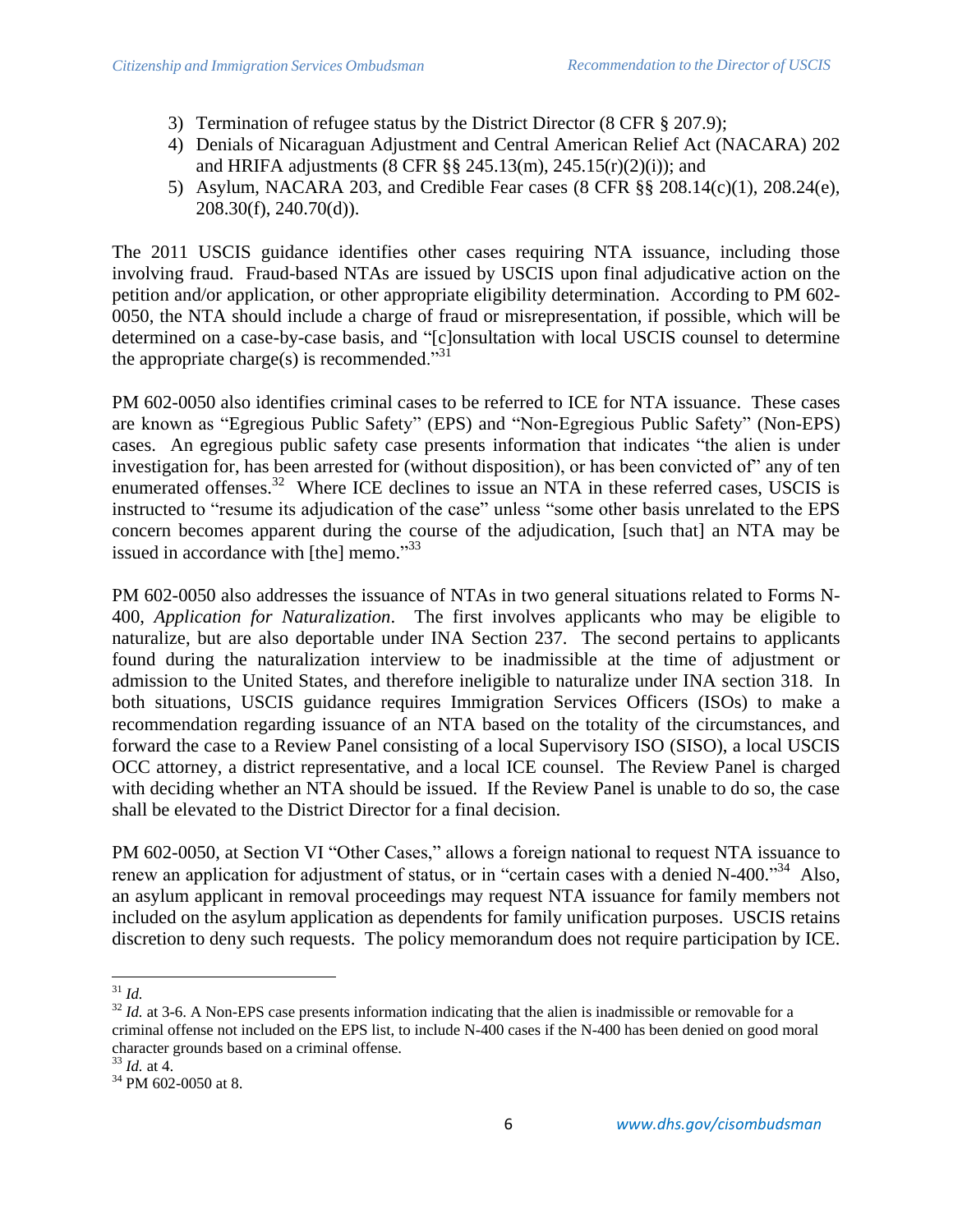- 3) Termination of refugee status by the District Director (8 CFR § 207.9);
- 4) Denials of Nicaraguan Adjustment and Central American Relief Act (NACARA) 202 and HRIFA adjustments (8 CFR §§ 245.13(m), 245.15(r)(2)(i)); and
- 5) Asylum, NACARA 203, and Credible Fear cases (8 CFR §§ 208.14(c)(1), 208.24(e), 208.30(f), 240.70(d)).

The 2011 USCIS guidance identifies other cases requiring NTA issuance, including those involving fraud. Fraud-based NTAs are issued by USCIS upon final adjudicative action on the petition and/or application, or other appropriate eligibility determination. According to PM 602- 0050, the NTA should include a charge of fraud or misrepresentation, if possible, which will be determined on a case-by-case basis, and "[c]onsultation with local USCIS counsel to determine the appropriate charge(s) is recommended."<sup>31</sup>

PM 602-0050 also identifies criminal cases to be referred to ICE for NTA issuance. These cases are known as "Egregious Public Safety" (EPS) and "Non-Egregious Public Safety" (Non-EPS) cases. An egregious public safety case presents information that indicates "the alien is under investigation for, has been arrested for (without disposition), or has been convicted of" any of ten enumerated offenses.<sup>32</sup> Where ICE declines to issue an NTA in these referred cases, USCIS is instructed to "resume its adjudication of the case" unless "some other basis unrelated to the EPS concern becomes apparent during the course of the adjudication, [such that] an NTA may be issued in accordance with [the] memo."33

PM 602-0050 also addresses the issuance of NTAs in two general situations related to Forms N-400, *Application for Naturalization*. The first involves applicants who may be eligible to naturalize, but are also deportable under INA Section 237. The second pertains to applicants found during the naturalization interview to be inadmissible at the time of adjustment or admission to the United States, and therefore ineligible to naturalize under INA section 318. In both situations, USCIS guidance requires Immigration Services Officers (ISOs) to make a recommendation regarding issuance of an NTA based on the totality of the circumstances, and forward the case to a Review Panel consisting of a local Supervisory ISO (SISO), a local USCIS OCC attorney, a district representative, and a local ICE counsel. The Review Panel is charged with deciding whether an NTA should be issued. If the Review Panel is unable to do so, the case shall be elevated to the District Director for a final decision.

PM 602-0050, at Section VI "Other Cases," allows a foreign national to request NTA issuance to renew an application for adjustment of status, or in "certain cases with a denied N-400."<sup>34</sup> Also, an asylum applicant in removal proceedings may request NTA issuance for family members not included on the asylum application as dependents for family unification purposes. USCIS retains discretion to deny such requests. The policy memorandum does not require participation by ICE.

l <sup>31</sup> *Id.* 

<sup>&</sup>lt;sup>32</sup> *Id.* at 3-6. A Non-EPS case presents information indicating that the alien is inadmissible or removable for a criminal offense not included on the EPS list, to include N-400 cases if the N-400 has been denied on good moral character grounds based on a criminal offense.

<sup>33</sup> *Id.* at 4.

<sup>34</sup> PM 602-0050 at 8.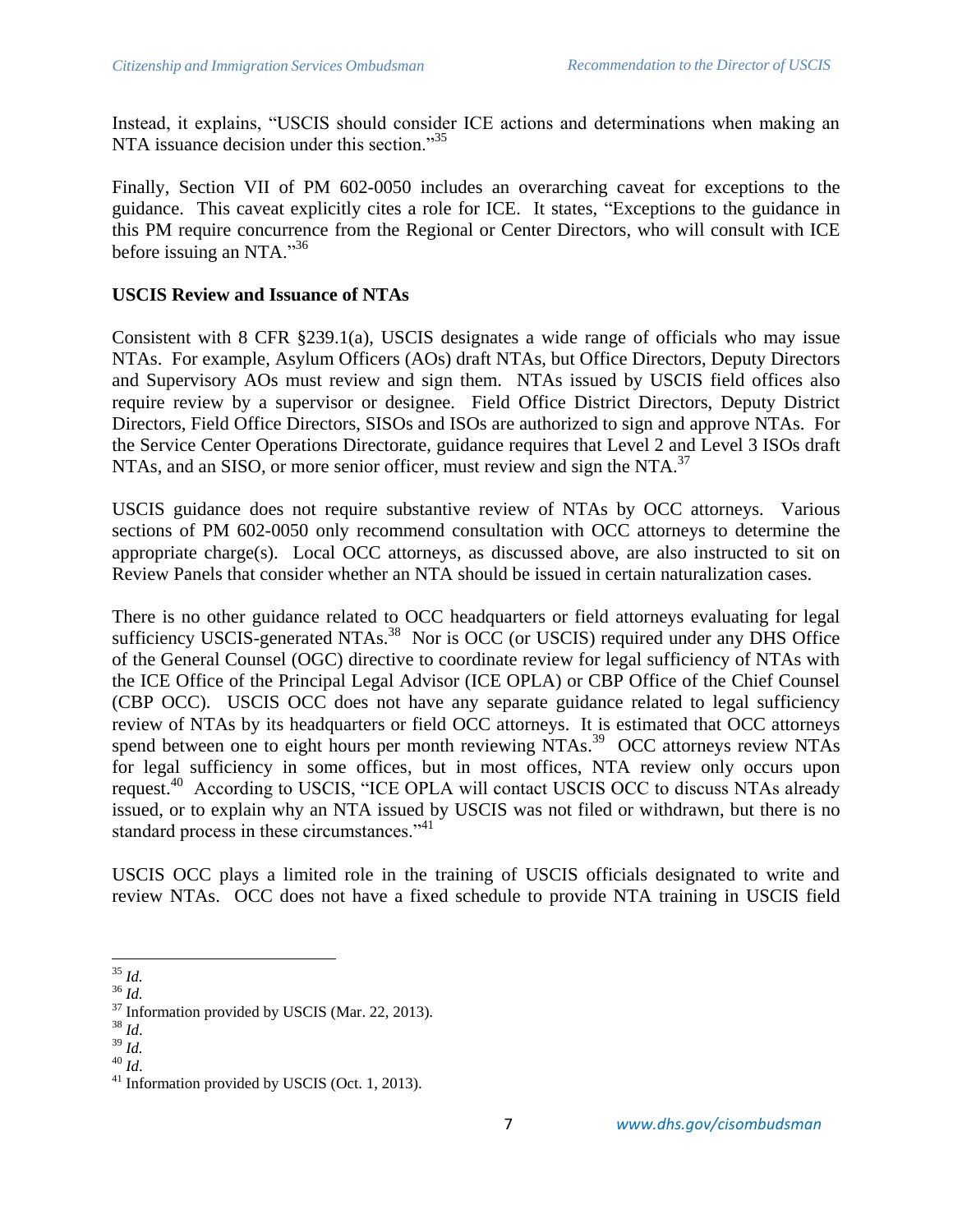Instead, it explains, "USCIS should consider ICE actions and determinations when making an NTA issuance decision under this section."<sup>35</sup>

Finally, Section VII of PM 602-0050 includes an overarching caveat for exceptions to the guidance. This caveat explicitly cites a role for ICE. It states, "Exceptions to the guidance in this PM require concurrence from the Regional or Center Directors, who will consult with ICE before issuing an NTA."<sup>36</sup>

#### **USCIS Review and Issuance of NTAs**

Consistent with 8 CFR §239.1(a), USCIS designates a wide range of officials who may issue NTAs. For example, Asylum Officers (AOs) draft NTAs, but Office Directors, Deputy Directors and Supervisory AOs must review and sign them. NTAs issued by USCIS field offices also require review by a supervisor or designee. Field Office District Directors, Deputy District Directors, Field Office Directors, SISOs and ISOs are authorized to sign and approve NTAs. For the Service Center Operations Directorate, guidance requires that Level 2 and Level 3 ISOs draft NTAs, and an SISO, or more senior officer, must review and sign the NTA.<sup>37</sup>

USCIS guidance does not require substantive review of NTAs by OCC attorneys. Various sections of PM 602-0050 only recommend consultation with OCC attorneys to determine the appropriate charge(s). Local OCC attorneys, as discussed above, are also instructed to sit on Review Panels that consider whether an NTA should be issued in certain naturalization cases.

There is no other guidance related to OCC headquarters or field attorneys evaluating for legal sufficiency USCIS-generated NTAs.<sup>38</sup> Nor is OCC (or USCIS) required under any DHS Office of the General Counsel (OGC) directive to coordinate review for legal sufficiency of NTAs with the ICE Office of the Principal Legal Advisor (ICE OPLA) or CBP Office of the Chief Counsel (CBP OCC). USCIS OCC does not have any separate guidance related to legal sufficiency review of NTAs by its headquarters or field OCC attorneys. It is estimated that OCC attorneys spend between one to eight hours per month reviewing NTAs.<sup>39</sup> OCC attorneys review NTAs for legal sufficiency in some offices, but in most offices, NTA review only occurs upon request.<sup>40</sup> According to USCIS, "ICE OPLA will contact USCIS OCC to discuss NTAs already issued, or to explain why an NTA issued by USCIS was not filed or withdrawn, but there is no standard process in these circumstances."<sup>41</sup>

USCIS OCC plays a limited role in the training of USCIS officials designated to write and review NTAs. OCC does not have a fixed schedule to provide NTA training in USCIS field

 $\overline{\phantom{a}}$ <sup>35</sup> *Id.*

<sup>36</sup> *Id.*

 $37$  Information provided by USCIS (Mar. 22, 2013).

<sup>38</sup> *Id*.

<sup>39</sup> *Id.*

<sup>40</sup> *Id*.

<sup>41</sup> Information provided by USCIS (Oct. 1, 2013).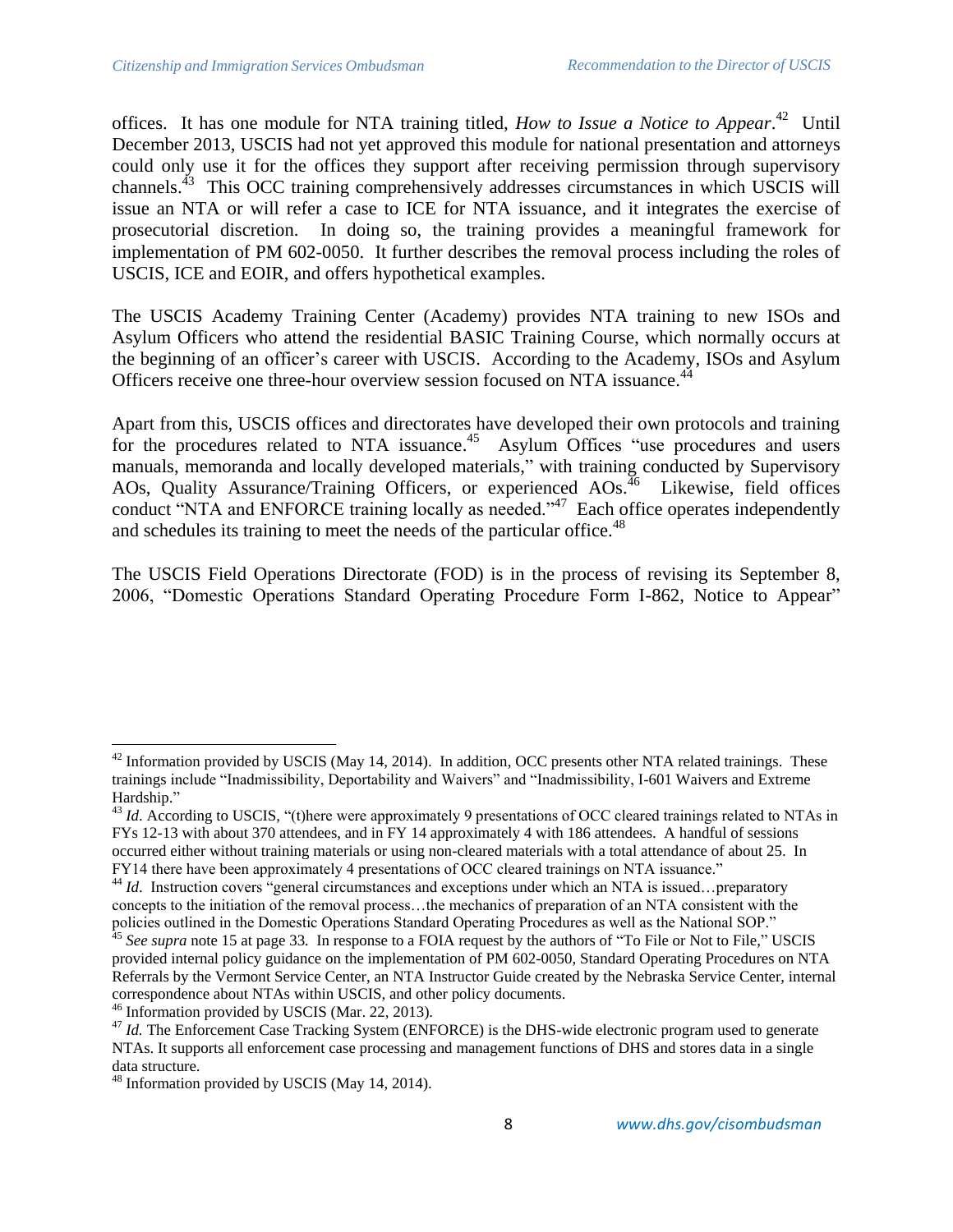offices. It has one module for NTA training titled, *How to Issue a Notice to Appear*. 42 Until December 2013, USCIS had not yet approved this module for national presentation and attorneys could only use it for the offices they support after receiving permission through supervisory channels.<sup>43</sup> This OCC training comprehensively addresses circumstances in which USCIS will issue an NTA or will refer a case to ICE for NTA issuance, and it integrates the exercise of prosecutorial discretion. In doing so, the training provides a meaningful framework for implementation of PM 602-0050. It further describes the removal process including the roles of USCIS, ICE and EOIR, and offers hypothetical examples.

The USCIS Academy Training Center (Academy) provides NTA training to new ISOs and Asylum Officers who attend the residential BASIC Training Course, which normally occurs at the beginning of an officer's career with USCIS. According to the Academy, ISOs and Asylum Officers receive one three-hour overview session focused on NTA issuance.<sup>44</sup>

Apart from this, USCIS offices and directorates have developed their own protocols and training for the procedures related to NTA issuance.<sup>45</sup> Asylum Offices "use procedures and users manuals, memoranda and locally developed materials," with training conducted by Supervisory AOs, Quality Assurance/Training Officers, or experienced AOs.<sup>46</sup> Likewise, field offices conduct "NTA and ENFORCE training locally as needed."<sup>47</sup> Each office operates independently and schedules its training to meet the needs of the particular office.<sup>48</sup>

The USCIS Field Operations Directorate (FOD) is in the process of revising its September 8, 2006, "Domestic Operations Standard Operating Procedure Form I-862, Notice to Appear"

 $\overline{\phantom{a}}$  $42$  Information provided by USCIS (May 14, 2014). In addition, OCC presents other NTA related trainings. These trainings include "Inadmissibility, Deportability and Waivers" and "Inadmissibility, I-601 Waivers and Extreme Hardship."

<sup>&</sup>lt;sup>43</sup> *Id.* According to USCIS, "(t)here were approximately 9 presentations of OCC cleared trainings related to NTAs in FYs 12-13 with about 370 attendees, and in FY 14 approximately 4 with 186 attendees. A handful of sessions occurred either without training materials or using non-cleared materials with a total attendance of about 25. In FY14 there have been approximately 4 presentations of OCC cleared trainings on NTA issuance."

<sup>&</sup>lt;sup>44</sup> *Id.* Instruction covers "general circumstances and exceptions under which an NTA is issued…preparatory concepts to the initiation of the removal process…the mechanics of preparation of an NTA consistent with the policies outlined in the Domestic Operations Standard Operating Procedures as well as the National SOP."

<sup>&</sup>lt;sup>45</sup> See supra note 15 at page 33. In response to a FOIA request by the authors of "To File or Not to File," USCIS provided internal policy guidance on the implementation of PM 602-0050, Standard Operating Procedures on NTA Referrals by the Vermont Service Center, an NTA Instructor Guide created by the Nebraska Service Center, internal correspondence about NTAs within USCIS, and other policy documents.

<sup>&</sup>lt;sup>46</sup> Information provided by USCIS (Mar. 22, 2013).

<sup>&</sup>lt;sup>47</sup> *Id.* The Enforcement Case Tracking System (ENFORCE) is the DHS-wide electronic program used to generate NTAs. It supports all enforcement case processing and management functions of DHS and stores data in a single data structure.

<sup>&</sup>lt;sup>48</sup> Information provided by USCIS (May 14, 2014).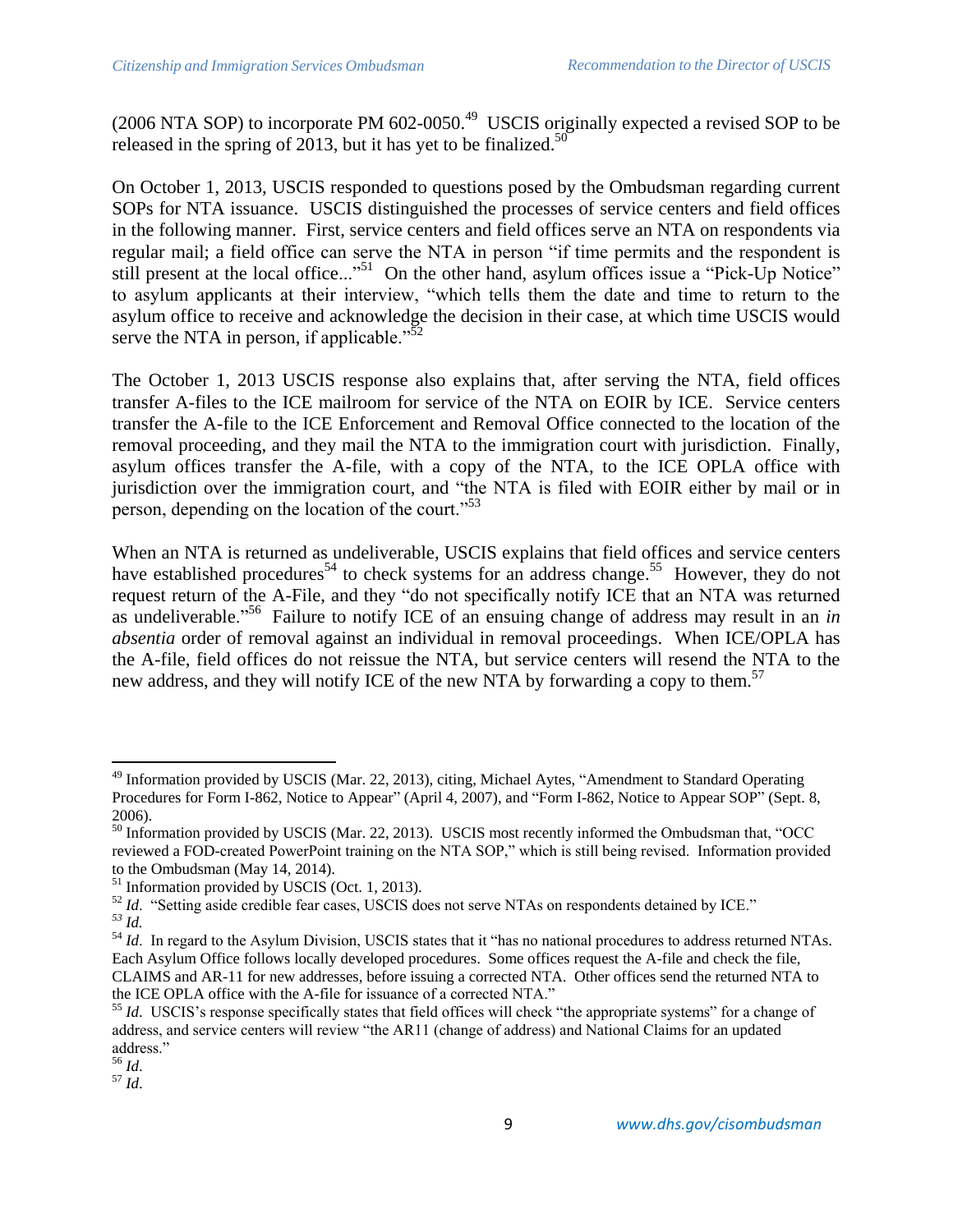$(2006 \text{ NTA SOP})$  to incorporate PM  $602$ -0050.<sup>49</sup> USCIS originally expected a revised SOP to be released in the spring of 2013, but it has yet to be finalized.<sup>50</sup>

On October 1, 2013, USCIS responded to questions posed by the Ombudsman regarding current SOPs for NTA issuance. USCIS distinguished the processes of service centers and field offices in the following manner. First, service centers and field offices serve an NTA on respondents via regular mail; a field office can serve the NTA in person "if time permits and the respondent is still present at the local office..."<sup>51</sup> On the other hand, asylum offices issue a "Pick-Up Notice" to asylum applicants at their interview, "which tells them the date and time to return to the asylum office to receive and acknowledge the decision in their case, at which time USCIS would serve the NTA in person, if applicable." $\frac{52}{2}$ 

The October 1, 2013 USCIS response also explains that, after serving the NTA, field offices transfer A-files to the ICE mailroom for service of the NTA on EOIR by ICE. Service centers transfer the A-file to the ICE Enforcement and Removal Office connected to the location of the removal proceeding, and they mail the NTA to the immigration court with jurisdiction. Finally, asylum offices transfer the A-file, with a copy of the NTA, to the ICE OPLA office with jurisdiction over the immigration court, and "the NTA is filed with EOIR either by mail or in person, depending on the location of the court."<sup>53</sup>

When an NTA is returned as undeliverable, USCIS explains that field offices and service centers have established procedures<sup>54</sup> to check systems for an address change.<sup>55</sup> However, they do not request return of the A-File, and they "do not specifically notify ICE that an NTA was returned as undeliverable."<sup>56</sup> Failure to notify ICE of an ensuing change of address may result in an *in absentia* order of removal against an individual in removal proceedings. When ICE/OPLA has the A-file, field offices do not reissue the NTA, but service centers will resend the NTA to the new address, and they will notify ICE of the new NTA by forwarding a copy to them.<sup>57</sup>

<sup>&</sup>lt;sup>49</sup> Information provided by USCIS (Mar. 22, 2013), citing, Michael Aytes, "Amendment to Standard Operating Procedures for Form I-862, Notice to Appear" (April 4, 2007), and "Form I-862, Notice to Appear SOP" (Sept. 8, 2006).

<sup>&</sup>lt;sup>50</sup> Information provided by USCIS (Mar. 22, 2013). USCIS most recently informed the Ombudsman that, "OCC reviewed a FOD-created PowerPoint training on the NTA SOP," which is still being revised. Information provided to the Ombudsman (May 14, 2014).

<sup>&</sup>lt;sup>51</sup> Information provided by USCIS (Oct. 1, 2013).

<sup>&</sup>lt;sup>52</sup> *Id.* "Setting aside credible fear cases, USCIS does not serve NTAs on respondents detained by ICE." *<sup>53</sup> Id.* 

<sup>&</sup>lt;sup>54</sup> *Id.* In regard to the Asylum Division, USCIS states that it "has no national procedures to address returned NTAs. Each Asylum Office follows locally developed procedures. Some offices request the A-file and check the file, CLAIMS and AR-11 for new addresses, before issuing a corrected NTA. Other offices send the returned NTA to the ICE OPLA office with the A-file for issuance of a corrected NTA."

<sup>&</sup>lt;sup>55</sup> *Id.* USCIS's response specifically states that field offices will check "the appropriate systems" for a change of address, and service centers will review "the AR11 (change of address) and National Claims for an updated address."

<sup>56</sup> *Id*.

<sup>57</sup> *Id*.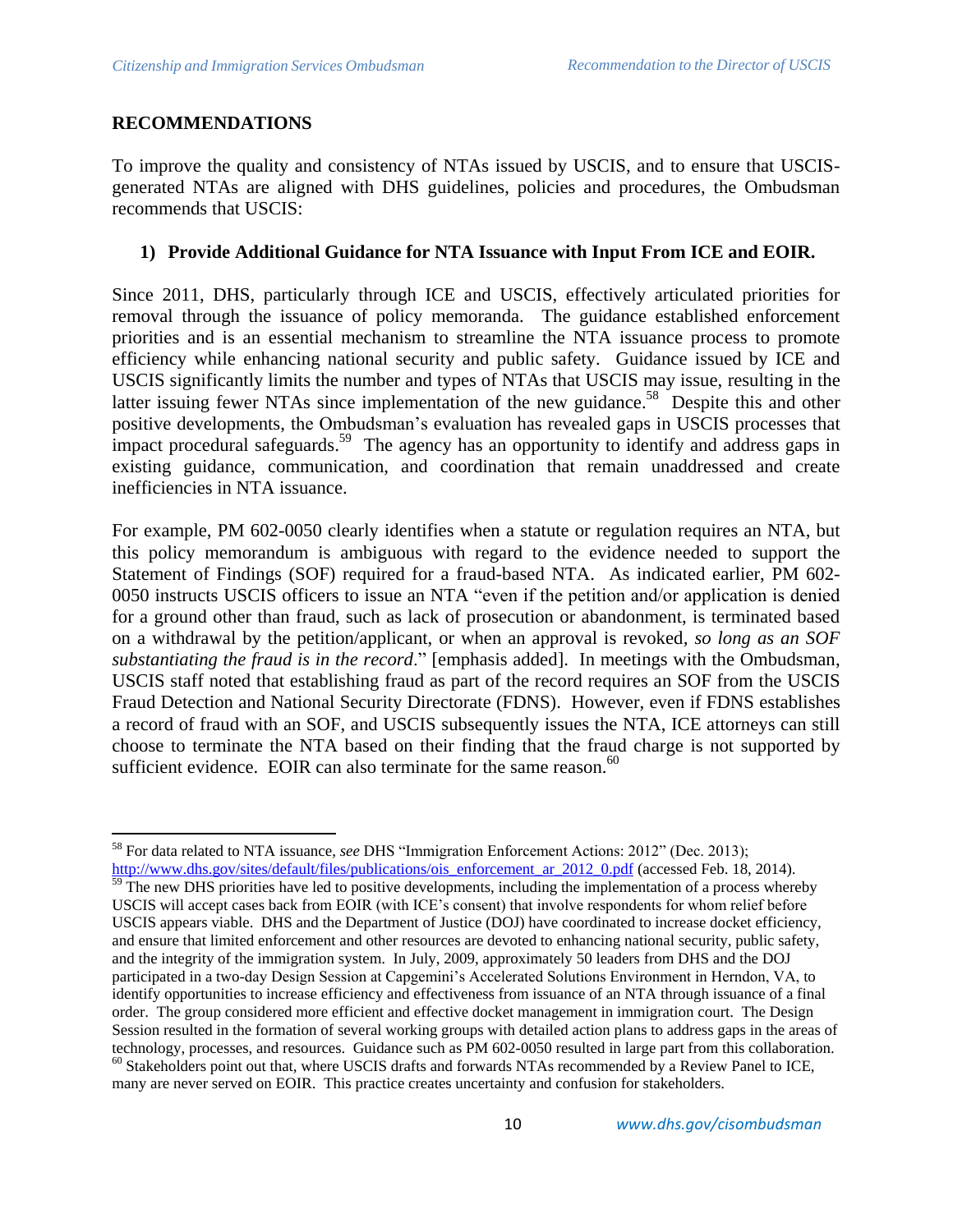## **RECOMMENDATIONS**

To improve the quality and consistency of NTAs issued by USCIS, and to ensure that USCISgenerated NTAs are aligned with DHS guidelines, policies and procedures, the Ombudsman recommends that USCIS:

## **1) Provide Additional Guidance for NTA Issuance with Input From ICE and EOIR.**

Since 2011, DHS, particularly through ICE and USCIS, effectively articulated priorities for removal through the issuance of policy memoranda. The guidance established enforcement priorities and is an essential mechanism to streamline the NTA issuance process to promote efficiency while enhancing national security and public safety. Guidance issued by ICE and USCIS significantly limits the number and types of NTAs that USCIS may issue, resulting in the latter issuing fewer NTAs since implementation of the new guidance.<sup>58</sup> Despite this and other positive developments, the Ombudsman's evaluation has revealed gaps in USCIS processes that impact procedural safeguards.<sup>59</sup> The agency has an opportunity to identify and address gaps in existing guidance, communication, and coordination that remain unaddressed and create inefficiencies in NTA issuance.

For example, PM 602-0050 clearly identifies when a statute or regulation requires an NTA, but this policy memorandum is ambiguous with regard to the evidence needed to support the Statement of Findings (SOF) required for a fraud-based NTA. As indicated earlier, PM 602- 0050 instructs USCIS officers to issue an NTA "even if the petition and/or application is denied for a ground other than fraud, such as lack of prosecution or abandonment, is terminated based on a withdrawal by the petition/applicant, or when an approval is revoked*, so long as an SOF substantiating the fraud is in the record*." [emphasis added]. In meetings with the Ombudsman, USCIS staff noted that establishing fraud as part of the record requires an SOF from the USCIS Fraud Detection and National Security Directorate (FDNS). However, even if FDNS establishes a record of fraud with an SOF, and USCIS subsequently issues the NTA, ICE attorneys can still choose to terminate the NTA based on their finding that the fraud charge is not supported by sufficient evidence. EOIR can also terminate for the same reason.<sup>60</sup>

 $\overline{\phantom{a}}$ <sup>58</sup> For data related to NTA issuance, *see* DHS "Immigration Enforcement Actions: 2012" (Dec. 2013);

[http://www.dhs.gov/sites/default/files/publications/ois\\_enforcement\\_ar\\_2012\\_0.pdf](http://www.dhs.gov/sites/default/files/publications/ois_enforcement_ar_2012_0.pdf) (accessed Feb. 18, 2014).  $\frac{1}{59}$  The new DHS priorities have led to positive developments, including the implementation of a process whereby USCIS will accept cases back from EOIR (with ICE's consent) that involve respondents for whom relief before USCIS appears viable. DHS and the Department of Justice (DOJ) have coordinated to increase docket efficiency, and ensure that limited enforcement and other resources are devoted to enhancing national security, public safety, and the integrity of the immigration system. In July, 2009, approximately 50 leaders from DHS and the DOJ participated in a two-day Design Session at Capgemini's Accelerated Solutions Environment in Herndon, VA, to identify opportunities to increase efficiency and effectiveness from issuance of an NTA through issuance of a final order. The group considered more efficient and effective docket management in immigration court. The Design Session resulted in the formation of several working groups with detailed action plans to address gaps in the areas of technology, processes, and resources. Guidance such as PM 602-0050 resulted in large part from this collaboration.  $60$  Stakeholders point out that, where USCIS drafts and forwards NTAs recommended by a Review Panel to ICE, many are never served on EOIR. This practice creates uncertainty and confusion for stakeholders.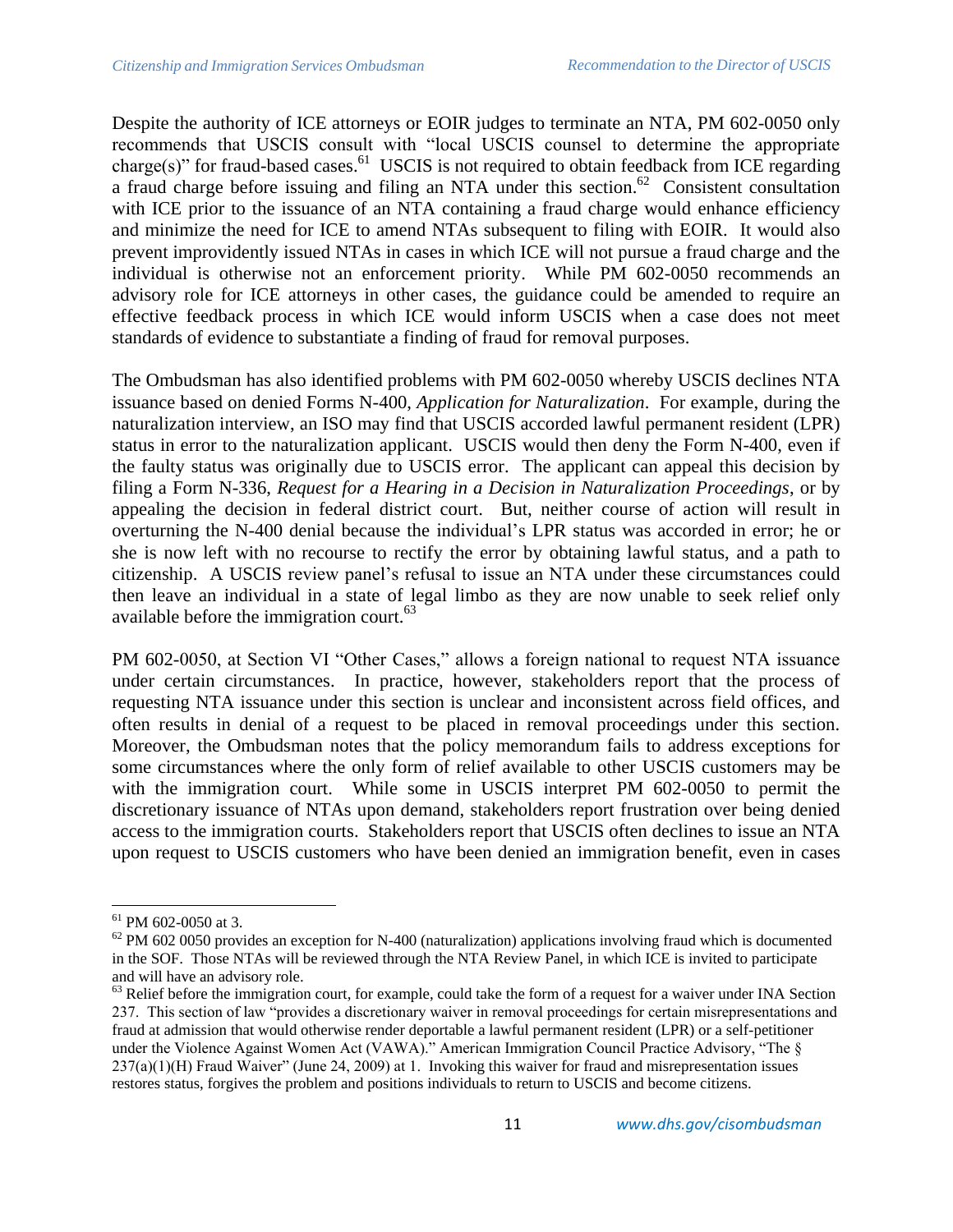Despite the authority of ICE attorneys or EOIR judges to terminate an NTA, PM 602-0050 only recommends that USCIS consult with "local USCIS counsel to determine the appropriate charge(s)" for fraud-based cases.<sup>61</sup> USCIS is not required to obtain feedback from ICE regarding a fraud charge before issuing and filing an NTA under this section.<sup>62</sup> Consistent consultation with ICE prior to the issuance of an NTA containing a fraud charge would enhance efficiency and minimize the need for ICE to amend NTAs subsequent to filing with EOIR. It would also prevent improvidently issued NTAs in cases in which ICE will not pursue a fraud charge and the individual is otherwise not an enforcement priority. While PM 602-0050 recommends an advisory role for ICE attorneys in other cases, the guidance could be amended to require an effective feedback process in which ICE would inform USCIS when a case does not meet standards of evidence to substantiate a finding of fraud for removal purposes.

The Ombudsman has also identified problems with PM 602-0050 whereby USCIS declines NTA issuance based on denied Forms N-400, *Application for Naturalization*. For example, during the naturalization interview, an ISO may find that USCIS accorded lawful permanent resident (LPR) status in error to the naturalization applicant. USCIS would then deny the Form N-400, even if the faulty status was originally due to USCIS error. The applicant can appeal this decision by filing a Form N-336, *Request for a Hearing in a Decision in Naturalization Proceedings*, or by appealing the decision in federal district court. But, neither course of action will result in overturning the N-400 denial because the individual's LPR status was accorded in error; he or she is now left with no recourse to rectify the error by obtaining lawful status, and a path to citizenship. A USCIS review panel's refusal to issue an NTA under these circumstances could then leave an individual in a state of legal limbo as they are now unable to seek relief only available before the immigration court. $^{63}$ 

PM 602-0050, at Section VI "Other Cases," allows a foreign national to request NTA issuance under certain circumstances. In practice, however, stakeholders report that the process of requesting NTA issuance under this section is unclear and inconsistent across field offices, and often results in denial of a request to be placed in removal proceedings under this section. Moreover, the Ombudsman notes that the policy memorandum fails to address exceptions for some circumstances where the only form of relief available to other USCIS customers may be with the immigration court. While some in USCIS interpret PM 602-0050 to permit the discretionary issuance of NTAs upon demand, stakeholders report frustration over being denied access to the immigration courts. Stakeholders report that USCIS often declines to issue an NTA upon request to USCIS customers who have been denied an immigration benefit, even in cases

 $\overline{\phantom{a}}$ 

<sup>&</sup>lt;sup>61</sup> PM 602-0050 at 3.

 $62$  PM 602 0050 provides an exception for N-400 (naturalization) applications involving fraud which is documented in the SOF. Those NTAs will be reviewed through the NTA Review Panel, in which ICE is invited to participate and will have an advisory role.

<sup>&</sup>lt;sup>63</sup> Relief before the immigration court, for example, could take the form of a request for a waiver under INA Section 237. This section of law "provides a discretionary waiver in removal proceedings for certain misrepresentations and fraud at admission that would otherwise render deportable a lawful permanent resident (LPR) or a self-petitioner under the Violence Against Women Act (VAWA)." American Immigration Council Practice Advisory, "The § 237(a)(1)(H) Fraud Waiver" (June 24, 2009) at 1. Invoking this waiver for fraud and misrepresentation issues restores status, forgives the problem and positions individuals to return to USCIS and become citizens.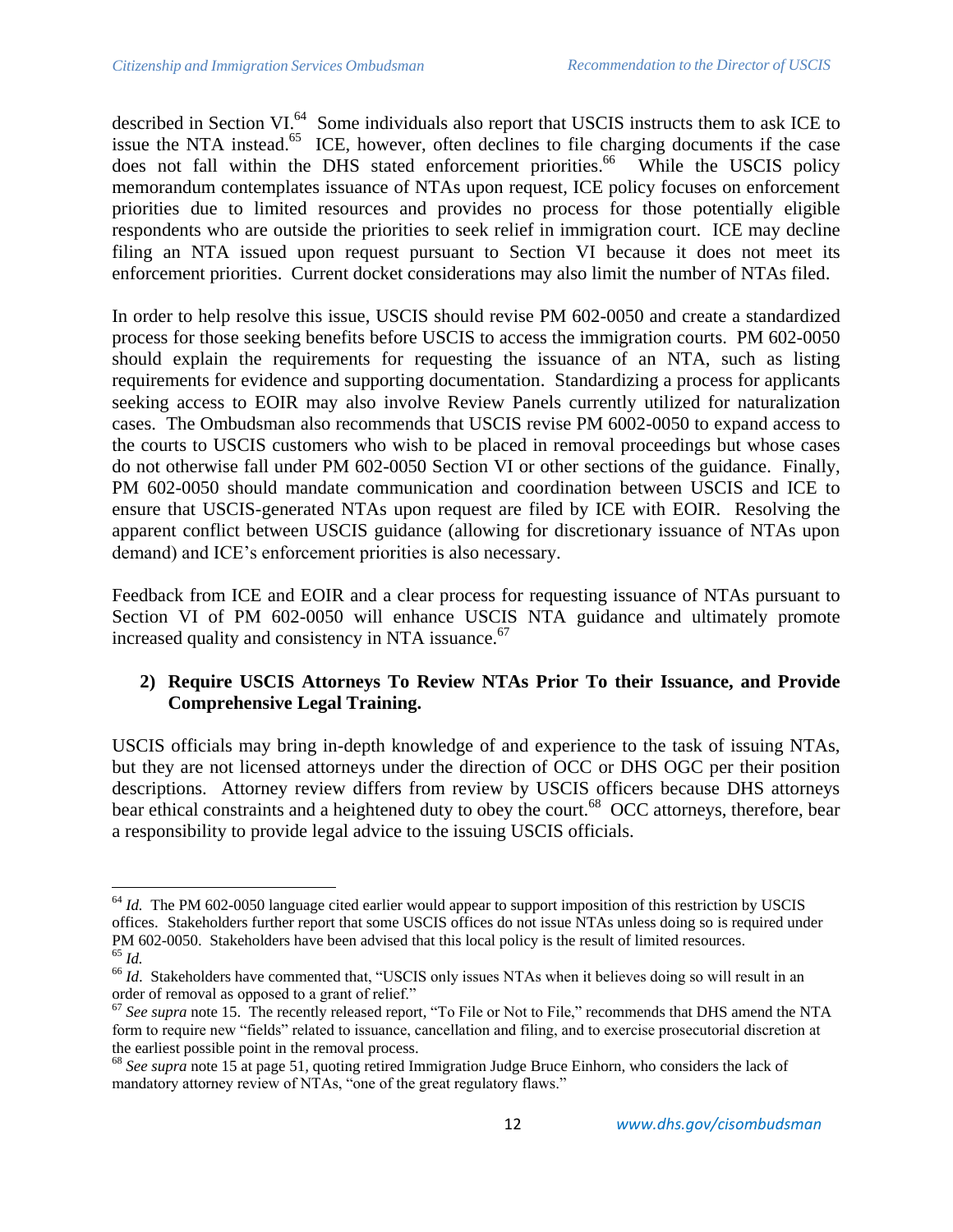described in Section VI.<sup>64</sup> Some individuals also report that USCIS instructs them to ask ICE to issue the NTA instead.<sup>65</sup> ICE, however, often declines to file charging documents if the case does not fall within the DHS stated enforcement priorities.<sup>66</sup> While the USCIS policy memorandum contemplates issuance of NTAs upon request, ICE policy focuses on enforcement priorities due to limited resources and provides no process for those potentially eligible respondents who are outside the priorities to seek relief in immigration court. ICE may decline filing an NTA issued upon request pursuant to Section VI because it does not meet its enforcement priorities. Current docket considerations may also limit the number of NTAs filed.

In order to help resolve this issue, USCIS should revise PM 602-0050 and create a standardized process for those seeking benefits before USCIS to access the immigration courts. PM 602-0050 should explain the requirements for requesting the issuance of an NTA, such as listing requirements for evidence and supporting documentation. Standardizing a process for applicants seeking access to EOIR may also involve Review Panels currently utilized for naturalization cases. The Ombudsman also recommends that USCIS revise PM 6002-0050 to expand access to the courts to USCIS customers who wish to be placed in removal proceedings but whose cases do not otherwise fall under PM 602-0050 Section VI or other sections of the guidance. Finally, PM 602-0050 should mandate communication and coordination between USCIS and ICE to ensure that USCIS-generated NTAs upon request are filed by ICE with EOIR. Resolving the apparent conflict between USCIS guidance (allowing for discretionary issuance of NTAs upon demand) and ICE's enforcement priorities is also necessary.

Feedback from ICE and EOIR and a clear process for requesting issuance of NTAs pursuant to Section VI of PM 602-0050 will enhance USCIS NTA guidance and ultimately promote increased quality and consistency in NTA issuance.<sup>67</sup>

# **2) Require USCIS Attorneys To Review NTAs Prior To their Issuance, and Provide Comprehensive Legal Training.**

USCIS officials may bring in-depth knowledge of and experience to the task of issuing NTAs, but they are not licensed attorneys under the direction of OCC or DHS OGC per their position descriptions. Attorney review differs from review by USCIS officers because DHS attorneys bear ethical constraints and a heightened duty to obey the court.<sup>68</sup> OCC attorneys, therefore, bear a responsibility to provide legal advice to the issuing USCIS officials.

 $\overline{\phantom{a}}$ <sup>64</sup> *Id.* The PM 602-0050 language cited earlier would appear to support imposition of this restriction by USCIS offices. Stakeholders further report that some USCIS offices do not issue NTAs unless doing so is required under PM 602-0050. Stakeholders have been advised that this local policy is the result of limited resources. <sup>65</sup> *Id.*

<sup>&</sup>lt;sup>66</sup> *Id.* Stakeholders have commented that, "USCIS only issues NTAs when it believes doing so will result in an order of removal as opposed to a grant of relief."

<sup>&</sup>lt;sup>67</sup> See supra note 15. The recently released report, "To File or Not to File," recommends that DHS amend the NTA form to require new "fields" related to issuance, cancellation and filing, and to exercise prosecutorial discretion at the earliest possible point in the removal process.

<sup>68</sup> *See supra* note 15 at page 51*,* quoting retired Immigration Judge Bruce Einhorn, who considers the lack of mandatory attorney review of NTAs, "one of the great regulatory flaws."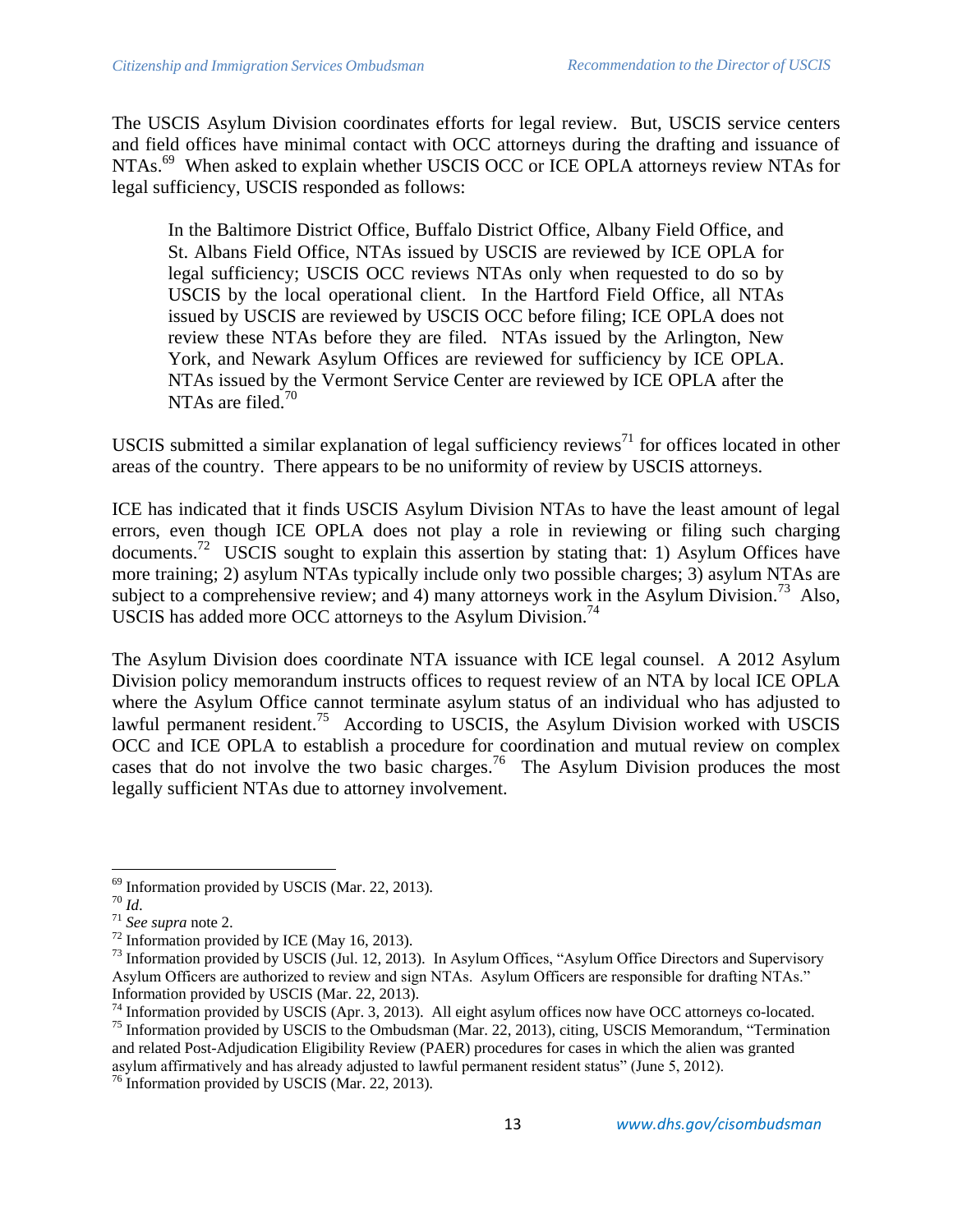The USCIS Asylum Division coordinates efforts for legal review. But, USCIS service centers and field offices have minimal contact with OCC attorneys during the drafting and issuance of NTAs.<sup>69</sup> When asked to explain whether USCIS OCC or ICE OPLA attorneys review NTAs for legal sufficiency, USCIS responded as follows:

In the Baltimore District Office, Buffalo District Office, Albany Field Office, and St. Albans Field Office, NTAs issued by USCIS are reviewed by ICE OPLA for legal sufficiency; USCIS OCC reviews NTAs only when requested to do so by USCIS by the local operational client. In the Hartford Field Office, all NTAs issued by USCIS are reviewed by USCIS OCC before filing; ICE OPLA does not review these NTAs before they are filed. NTAs issued by the Arlington, New York, and Newark Asylum Offices are reviewed for sufficiency by ICE OPLA. NTAs issued by the Vermont Service Center are reviewed by ICE OPLA after the NTAs are filed. $70$ 

USCIS submitted a similar explanation of legal sufficiency reviews<sup>71</sup> for offices located in other areas of the country. There appears to be no uniformity of review by USCIS attorneys.

ICE has indicated that it finds USCIS Asylum Division NTAs to have the least amount of legal errors, even though ICE OPLA does not play a role in reviewing or filing such charging documents.<sup>72</sup> USCIS sought to explain this assertion by stating that: 1) Asylum Offices have more training; 2) asylum NTAs typically include only two possible charges; 3) asylum NTAs are subject to a comprehensive review; and 4) many attorneys work in the Asylum Division.<sup>73</sup> Also, USCIS has added more OCC attorneys to the Asylum Division.<sup>74</sup>

The Asylum Division does coordinate NTA issuance with ICE legal counsel. A 2012 Asylum Division policy memorandum instructs offices to request review of an NTA by local ICE OPLA where the Asylum Office cannot terminate asylum status of an individual who has adjusted to lawful permanent resident.<sup>75</sup> According to USCIS, the Asylum Division worked with USCIS OCC and ICE OPLA to establish a procedure for coordination and mutual review on complex cases that do not involve the two basic charges.<sup>76</sup> The Asylum Division produces the most legally sufficient NTAs due to attorney involvement.

 $69$  Information provided by USCIS (Mar. 22, 2013).

<sup>70</sup> *Id*.

<sup>71</sup> *See supra* note 2.

 $72$  Information provided by ICE (May 16, 2013).

<sup>&</sup>lt;sup>73</sup> Information provided by USCIS (Jul. 12, 2013). In Asylum Offices, "Asylum Office Directors and Supervisory Asylum Officers are authorized to review and sign NTAs. Asylum Officers are responsible for drafting NTAs." Information provided by USCIS (Mar. 22, 2013).

<sup>&</sup>lt;sup>74</sup> Information provided by USCIS (Apr. 3, 2013). All eight asylum offices now have OCC attorneys co-located. <sup>75</sup> Information provided by USCIS to the Ombudsman (Mar. 22, 2013), citing, USCIS Memorandum, "Termination and related Post-Adjudication Eligibility Review (PAER) procedures for cases in which the alien was granted asylum affirmatively and has already adjusted to lawful permanent resident status" (June 5, 2012).

<sup>&</sup>lt;sup>76</sup> Information provided by USCIS (Mar. 22, 2013).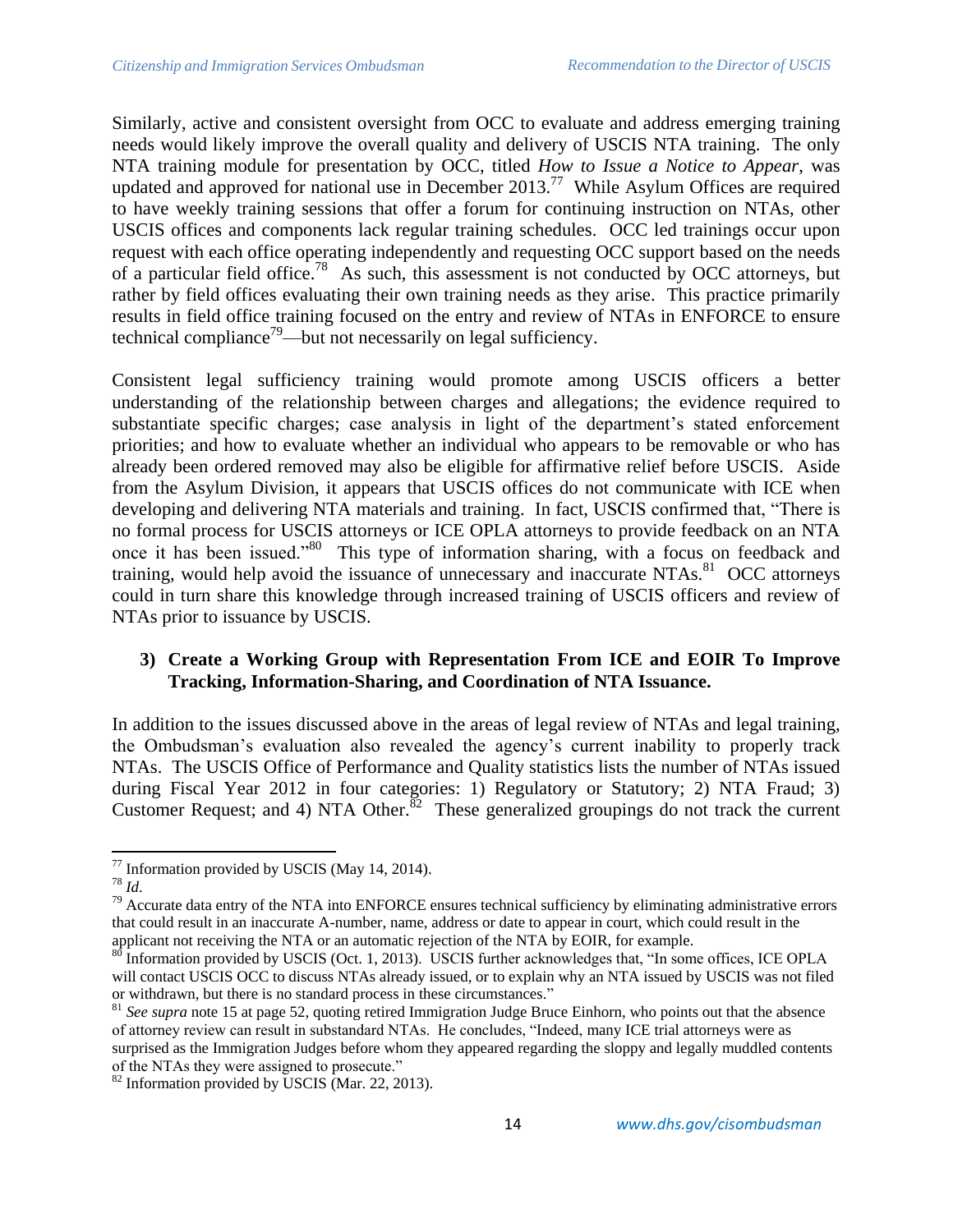Similarly, active and consistent oversight from OCC to evaluate and address emerging training needs would likely improve the overall quality and delivery of USCIS NTA training. The only NTA training module for presentation by OCC, titled *How to Issue a Notice to Appear*, was updated and approved for national use in December 2013.<sup>77</sup> While Asylum Offices are required to have weekly training sessions that offer a forum for continuing instruction on NTAs, other USCIS offices and components lack regular training schedules. OCC led trainings occur upon request with each office operating independently and requesting OCC support based on the needs of a particular field office.<sup>78</sup> As such, this assessment is not conducted by OCC attorneys, but rather by field offices evaluating their own training needs as they arise. This practice primarily results in field office training focused on the entry and review of NTAs in ENFORCE to ensure technical compliance<sup>79</sup>—but not necessarily on legal sufficiency.

Consistent legal sufficiency training would promote among USCIS officers a better understanding of the relationship between charges and allegations; the evidence required to substantiate specific charges; case analysis in light of the department's stated enforcement priorities; and how to evaluate whether an individual who appears to be removable or who has already been ordered removed may also be eligible for affirmative relief before USCIS. Aside from the Asylum Division, it appears that USCIS offices do not communicate with ICE when developing and delivering NTA materials and training. In fact, USCIS confirmed that, "There is no formal process for USCIS attorneys or ICE OPLA attorneys to provide feedback on an NTA once it has been issued."<sup>80</sup> This type of information sharing, with a focus on feedback and training, would help avoid the issuance of unnecessary and inaccurate NTAs.<sup>81</sup> OCC attorneys could in turn share this knowledge through increased training of USCIS officers and review of NTAs prior to issuance by USCIS.

# **3) Create a Working Group with Representation From ICE and EOIR To Improve Tracking, Information-Sharing, and Coordination of NTA Issuance.**

In addition to the issues discussed above in the areas of legal review of NTAs and legal training, the Ombudsman's evaluation also revealed the agency's current inability to properly track NTAs. The USCIS Office of Performance and Quality statistics lists the number of NTAs issued during Fiscal Year 2012 in four categories: 1) Regulatory or Statutory; 2) NTA Fraud; 3) Customer Request; and 4) NTA Other.<sup>82</sup> These generalized groupings do not track the current

 $\overline{\phantom{a}}$  $77$  Information provided by USCIS (May 14, 2014).

<sup>78</sup> *Id*.

 $79$  Accurate data entry of the NTA into ENFORCE ensures technical sufficiency by eliminating administrative errors that could result in an inaccurate A-number, name, address or date to appear in court, which could result in the applicant not receiving the NTA or an automatic rejection of the NTA by EOIR, for example.<br><sup>80</sup> Information provided by USCUS (2004) 2005, and all the NTA by EOIR, for example.

Information provided by USCIS (Oct. 1, 2013). USCIS further acknowledges that, "In some offices, ICE OPLA will contact USCIS OCC to discuss NTAs already issued, or to explain why an NTA issued by USCIS was not filed or withdrawn, but there is no standard process in these circumstances."

<sup>81</sup> *See supra* note 15 at page 52*,* quoting retired Immigration Judge Bruce Einhorn, who points out that the absence of attorney review can result in substandard NTAs. He concludes, "Indeed, many ICE trial attorneys were as surprised as the Immigration Judges before whom they appeared regarding the sloppy and legally muddled contents of the NTAs they were assigned to prosecute."

 $82$  Information provided by USCIS (Mar. 22, 2013).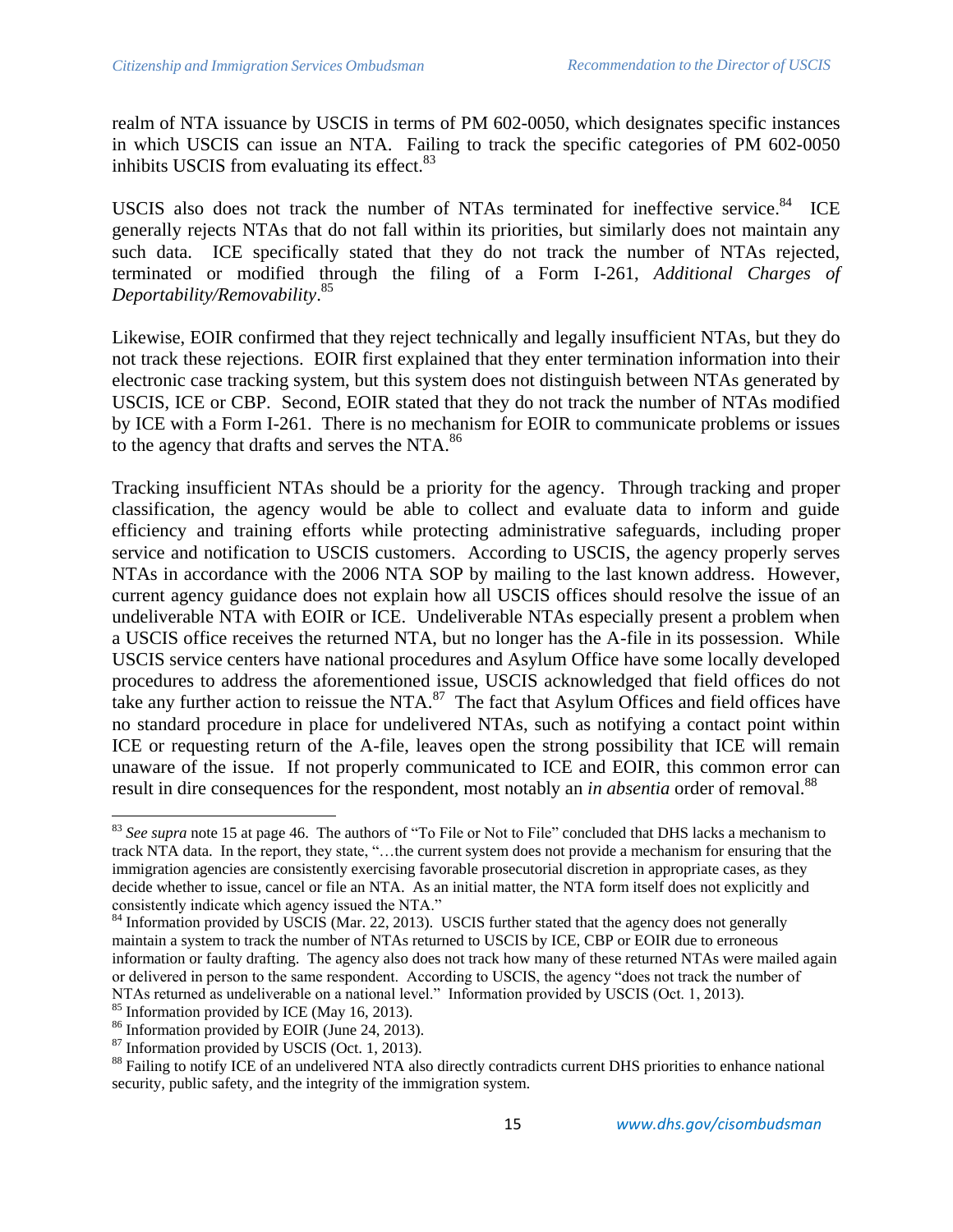realm of NTA issuance by USCIS in terms of PM 602-0050, which designates specific instances in which USCIS can issue an NTA. Failing to track the specific categories of PM 602-0050 inhibits USCIS from evaluating its effect.<sup>83</sup>

USCIS also does not track the number of NTAs terminated for ineffective service.<sup>84</sup> ICE generally rejects NTAs that do not fall within its priorities, but similarly does not maintain any such data. ICE specifically stated that they do not track the number of NTAs rejected, terminated or modified through the filing of a Form I-261, *Additional Charges of Deportability/Removability*. 85

Likewise, EOIR confirmed that they reject technically and legally insufficient NTAs, but they do not track these rejections. EOIR first explained that they enter termination information into their electronic case tracking system, but this system does not distinguish between NTAs generated by USCIS, ICE or CBP. Second, EOIR stated that they do not track the number of NTAs modified by ICE with a Form I-261. There is no mechanism for EOIR to communicate problems or issues to the agency that drafts and serves the NTA.<sup>86</sup>

Tracking insufficient NTAs should be a priority for the agency. Through tracking and proper classification, the agency would be able to collect and evaluate data to inform and guide efficiency and training efforts while protecting administrative safeguards, including proper service and notification to USCIS customers. According to USCIS, the agency properly serves NTAs in accordance with the 2006 NTA SOP by mailing to the last known address. However, current agency guidance does not explain how all USCIS offices should resolve the issue of an undeliverable NTA with EOIR or ICE. Undeliverable NTAs especially present a problem when a USCIS office receives the returned NTA, but no longer has the A-file in its possession. While USCIS service centers have national procedures and Asylum Office have some locally developed procedures to address the aforementioned issue, USCIS acknowledged that field offices do not take any further action to reissue the NTA. $^{87}$  The fact that Asylum Offices and field offices have no standard procedure in place for undelivered NTAs, such as notifying a contact point within ICE or requesting return of the A-file, leaves open the strong possibility that ICE will remain unaware of the issue. If not properly communicated to ICE and EOIR, this common error can result in dire consequences for the respondent, most notably an *in absentia* order of removal.<sup>88</sup>

<sup>83</sup> *See supra* note 15 at page 46. The authors of "To File or Not to File" concluded that DHS lacks a mechanism to track NTA data. In the report, they state, "…the current system does not provide a mechanism for ensuring that the immigration agencies are consistently exercising favorable prosecutorial discretion in appropriate cases, as they decide whether to issue, cancel or file an NTA. As an initial matter, the NTA form itself does not explicitly and consistently indicate which agency issued the NTA."

<sup>&</sup>lt;sup>84</sup> Information provided by USCIS (Mar. 22, 2013). USCIS further stated that the agency does not generally maintain a system to track the number of NTAs returned to USCIS by ICE, CBP or EOIR due to erroneous information or faulty drafting. The agency also does not track how many of these returned NTAs were mailed again or delivered in person to the same respondent. According to USCIS, the agency "does not track the number of NTAs returned as undeliverable on a national level." Information provided by USCIS (Oct. 1, 2013).

<sup>&</sup>lt;sup>85</sup> Information provided by ICE (May 16, 2013).

 $86$  Information provided by EOIR (June 24, 2013).

<sup>87</sup> Information provided by USCIS (Oct. 1, 2013).

<sup>&</sup>lt;sup>88</sup> Failing to notify ICE of an undelivered NTA also directly contradicts current DHS priorities to enhance national security, public safety, and the integrity of the immigration system.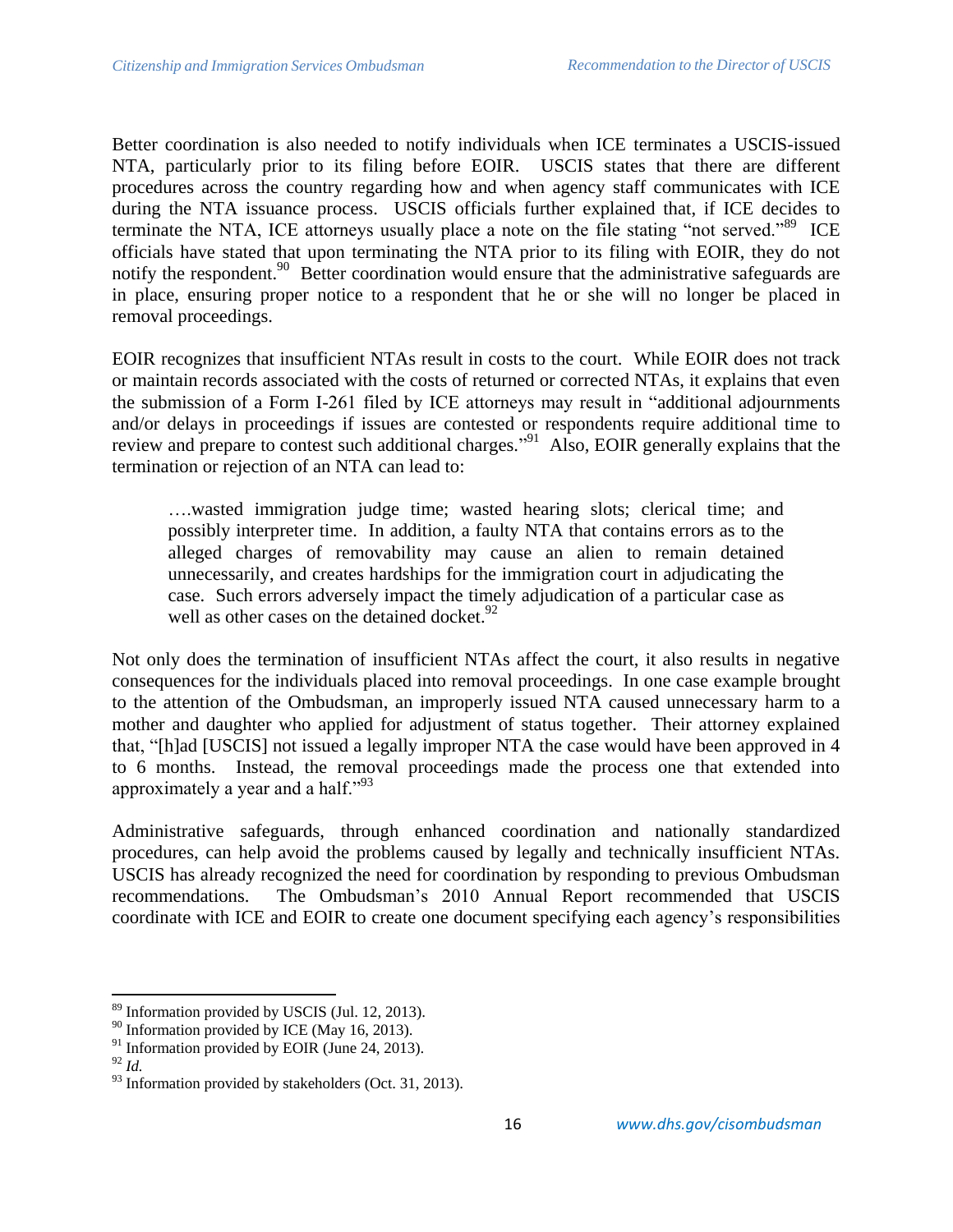Better coordination is also needed to notify individuals when ICE terminates a USCIS-issued NTA, particularly prior to its filing before EOIR. USCIS states that there are different procedures across the country regarding how and when agency staff communicates with ICE during the NTA issuance process. USCIS officials further explained that, if ICE decides to terminate the NTA, ICE attorneys usually place a note on the file stating "not served."<sup>89</sup> ICE officials have stated that upon terminating the NTA prior to its filing with EOIR, they do not notify the respondent.<sup>90</sup> Better coordination would ensure that the administrative safeguards are in place, ensuring proper notice to a respondent that he or she will no longer be placed in removal proceedings.

EOIR recognizes that insufficient NTAs result in costs to the court. While EOIR does not track or maintain records associated with the costs of returned or corrected NTAs, it explains that even the submission of a Form I-261 filed by ICE attorneys may result in "additional adjournments and/or delays in proceedings if issues are contested or respondents require additional time to review and prepare to contest such additional charges."<sup>91</sup> Also, EOIR generally explains that the termination or rejection of an NTA can lead to:

….wasted immigration judge time; wasted hearing slots; clerical time; and possibly interpreter time. In addition, a faulty NTA that contains errors as to the alleged charges of removability may cause an alien to remain detained unnecessarily, and creates hardships for the immigration court in adjudicating the case. Such errors adversely impact the timely adjudication of a particular case as well as other cases on the detained docket.<sup>92</sup>

Not only does the termination of insufficient NTAs affect the court, it also results in negative consequences for the individuals placed into removal proceedings. In one case example brought to the attention of the Ombudsman, an improperly issued NTA caused unnecessary harm to a mother and daughter who applied for adjustment of status together. Their attorney explained that, "[h]ad [USCIS] not issued a legally improper NTA the case would have been approved in 4 to 6 months. Instead, the removal proceedings made the process one that extended into approximately a year and a half." $^{93}$ 

Administrative safeguards, through enhanced coordination and nationally standardized procedures, can help avoid the problems caused by legally and technically insufficient NTAs. USCIS has already recognized the need for coordination by responding to previous Ombudsman recommendations. The Ombudsman's 2010 Annual Report recommended that USCIS coordinate with ICE and EOIR to create one document specifying each agency's responsibilities

 $\overline{\phantom{a}}$ 

<sup>&</sup>lt;sup>89</sup> Information provided by USCIS (Jul. 12, 2013).

 $90$  Information provided by ICE (May 16, 2013).

 $91$  Information provided by EOIR (June 24, 2013).

<sup>92</sup> *Id.*

 $93$  Information provided by stakeholders (Oct. 31, 2013).